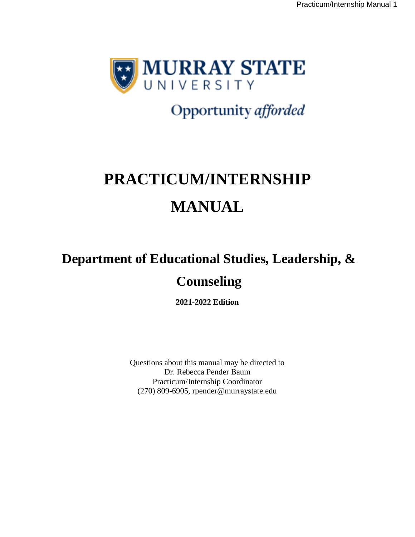

# Opportunity afforded

# **PRACTICUM/INTERNSHIP MANUAL**

# **Department of Educational Studies, Leadership, & Counseling**

**2021-2022 Edition** 

Questions about this manual may be directed to Dr. Rebecca Pender Baum Practicum/Internship Coordinator (270) 809-6905, rpender@murraystate.edu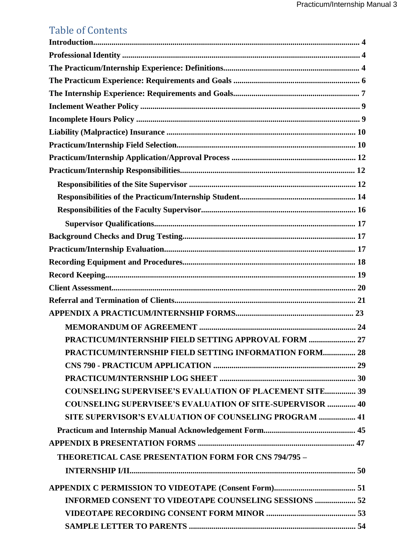# Table of Contents

| PRACTICUM/INTERNSHIP FIELD SETTING APPROVAL FORM  27             |
|------------------------------------------------------------------|
| PRACTICUM/INTERNSHIP FIELD SETTING INFORMATION FORM 28           |
|                                                                  |
|                                                                  |
| <b>COUNSELING SUPERVISEE'S EVALUATION OF PLACEMENT SITE 39</b>   |
| <b>COUNSELING SUPERVISEE'S EVALUATION OF SITE-SUPERVISOR  40</b> |
| <b>SITE SUPERVISOR'S EVALUATION OF COUNSELING PROGRAM  41</b>    |
|                                                                  |
|                                                                  |
| <b>THEORETICAL CASE PRESENTATION FORM FOR CNS 794/795 -</b>      |
|                                                                  |
|                                                                  |
| <b>INFORMED CONSENT TO VIDEOTAPE COUNSELING SESSIONS  52</b>     |
|                                                                  |
|                                                                  |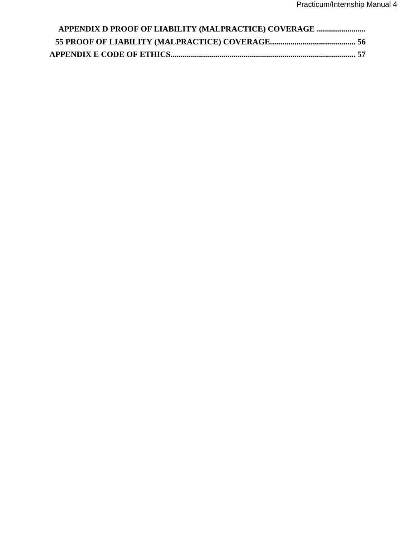| APPENDIX D PROOF OF LIABILITY (MALPRACTICE) COVERAGE |  |
|------------------------------------------------------|--|
|                                                      |  |
|                                                      |  |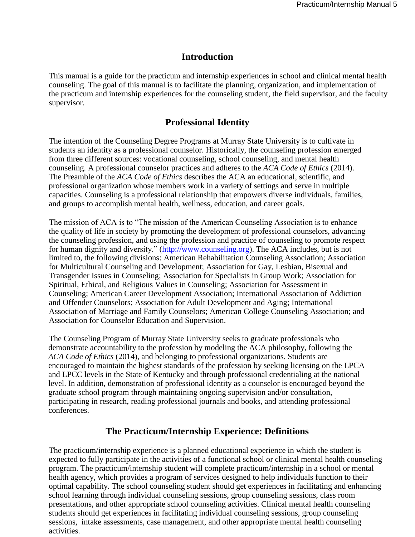## **Introduction**

This manual is a guide for the practicum and internship experiences in school and clinical mental health counseling. The goal of this manual is to facilitate the planning, organization, and implementation of the practicum and internship experiences for the counseling student, the field supervisor, and the faculty supervisor.

# **Professional Identity**

The intention of the Counseling Degree Programs at Murray State University is to cultivate in students an identity as a professional counselor. Historically, the counseling profession emerged from three different sources: vocational counseling, school counseling, and mental health counseling. A professional counselor practices and adheres to the *ACA Code of Ethics* (2014). The Preamble of the *ACA Code of Ethics* describes the ACA an educational, scientific, and professional organization whose members work in a variety of settings and serve in multiple capacities. Counseling is a professional relationship that empowers diverse individuals, families, and groups to accomplish mental health, wellness, education, and career goals.

The mission of ACA is to "The mission of the American Counseling Association is to enhance the quality of life in society by promoting the development of professional counselors, advancing the counseling profession, and using the profession and practice of counseling to promote respect for human dignity and diversity." (http://www.counseling.org). The ACA includes, but is not limited to, the following divisions: American Rehabilitation Counseling Association; Association for Multicultural Counseling and Development; Association for Gay, Lesbian, Bisexual and Transgender Issues in Counseling; Association for Specialists in Group Work; Association for Spiritual, Ethical, and Religious Values in Counseling; Association for Assessment in Counseling; American Career Development Association; International Association of Addiction and Offender Counselors; Association for Adult Development and Aging; International Association of Marriage and Family Counselors; American College Counseling Association; and Association for Counselor Education and Supervision.

The Counseling Program of Murray State University seeks to graduate professionals who demonstrate accountability to the profession by modeling the ACA philosophy, following the *ACA Code of Ethics* (2014), and belonging to professional organizations. Students are encouraged to maintain the highest standards of the profession by seeking licensing on the LPCA and LPCC levels in the State of Kentucky and through professional credentialing at the national level. In addition, demonstration of professional identity as a counselor is encouraged beyond the graduate school program through maintaining ongoing supervision and/or consultation, participating in research, reading professional journals and books, and attending professional conferences.

# **The Practicum/Internship Experience: Definitions**

The practicum/internship experience is a planned educational experience in which the student is expected to fully participate in the activities of a functional school or clinical mental health counseling program. The practicum/internship student will complete practicum/internship in a school or mental health agency, which provides a program of services designed to help individuals function to their optimal capability. The school counseling student should get experiences in facilitating and enhancing school learning through individual counseling sessions, group counseling sessions, class room presentations, and other appropriate school counseling activities. Clinical mental health counseling students should get experiences in facilitating individual counseling sessions, group counseling sessions, intake assessments, case management, and other appropriate mental health counseling activities.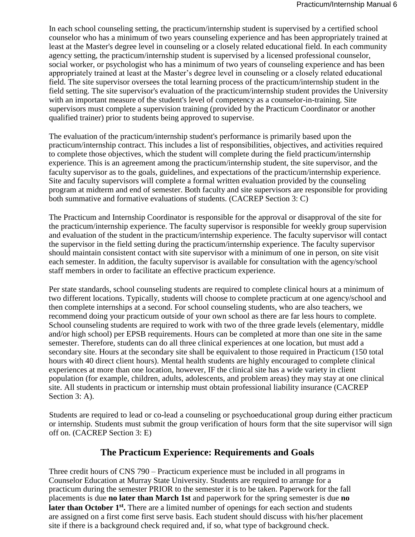In each school counseling setting, the practicum/internship student is supervised by a certified school counselor who has a minimum of two years counseling experience and has been appropriately trained at least at the Master's degree level in counseling or a closely related educational field. In each community agency setting, the practicum/internship student is supervised by a licensed professional counselor, social worker, or psychologist who has a minimum of two years of counseling experience and has been appropriately trained at least at the Master's degree level in counseling or a closely related educational field. The site supervisor oversees the total learning process of the practicum/internship student in the field setting. The site supervisor's evaluation of the practicum/internship student provides the University with an important measure of the student's level of competency as a counselor-in-training. Site supervisors must complete a supervision training (provided by the Practicum Coordinator or another qualified trainer) prior to students being approved to supervise.

The evaluation of the practicum/internship student's performance is primarily based upon the practicum/internship contract. This includes a list of responsibilities, objectives, and activities required to complete those objectives, which the student will complete during the field practicum/internship experience. This is an agreement among the practicum/internship student, the site supervisor, and the faculty supervisor as to the goals, guidelines, and expectations of the practicum/internship experience. Site and faculty supervisors will complete a formal written evaluation provided by the counseling program at midterm and end of semester. Both faculty and site supervisors are responsible for providing both summative and formative evaluations of students. (CACREP Section 3: C)

The Practicum and Internship Coordinator is responsible for the approval or disapproval of the site for the practicum/internship experience. The faculty supervisor is responsible for weekly group supervision and evaluation of the student in the practicum/internship experience. The faculty supervisor will contact the supervisor in the field setting during the practicum/internship experience. The faculty supervisor should maintain consistent contact with site supervisor with a minimum of one in person, on site visit each semester. In addition, the faculty supervisor is available for consultation with the agency/school staff members in order to facilitate an effective practicum experience.

Per state standards, school counseling students are required to complete clinical hours at a minimum of two different locations. Typically, students will choose to complete practicum at one agency/school and then complete internships at a second. For school counseling students, who are also teachers, we recommend doing your practicum outside of your own school as there are far less hours to complete. School counseling students are required to work with two of the three grade levels (elementary, middle and/or high school) per EPSB requirements. Hours can be completed at more than one site in the same semester. Therefore, students can do all three clinical experiences at one location, but must add a secondary site. Hours at the secondary site shall be equivalent to those required in Practicum (150 total hours with 40 direct client hours). Mental health students are highly encouraged to complete clinical experiences at more than one location, however, IF the clinical site has a wide variety in client population (for example, children, adults, adolescents, and problem areas) they may stay at one clinical site. All students in practicum or internship must obtain professional liability insurance (CACREP Section 3: A).

Students are required to lead or co-lead a counseling or psychoeducational group during either practicum or internship. Students must submit the group verification of hours form that the site supervisor will sign off on. (CACREP Section 3: E)

# **The Practicum Experience: Requirements and Goals**

Three credit hours of CNS 790 – Practicum experience must be included in all programs in Counselor Education at Murray State University. Students are required to arrange for a practicum during the semester PRIOR to the semester it is to be taken. Paperwork for the fall placements is due **no later than March 1st** and paperwork for the spring semester is due **no**  later than October 1<sup>st</sup>. There are a limited number of openings for each section and students are assigned on a first come first serve basis. Each student should discuss with his/her placement site if there is a background check required and, if so, what type of background check.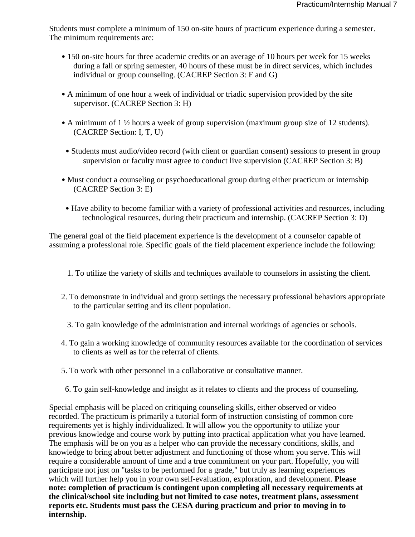Students must complete a minimum of 150 on-site hours of practicum experience during a semester. The minimum requirements are:

- 150 on-site hours for three academic credits or an average of 10 hours per week for 15 weeks during a fall or spring semester, 40 hours of these must be in direct services, which includes individual or group counseling. (CACREP Section 3: F and G)
- A minimum of one hour a week of individual or triadic supervision provided by the site supervisor. (CACREP Section 3: H)
- A minimum of 1 ½ hours a week of group supervision (maximum group size of 12 students). (CACREP Section: I, T, U)
- Students must audio/video record (with client or guardian consent) sessions to present in group supervision or faculty must agree to conduct live supervision (CACREP Section 3: B)
- Must conduct a counseling or psychoeducational group during either practicum or internship (CACREP Section 3: E)
- Have ability to become familiar with a variety of professional activities and resources, including technological resources, during their practicum and internship. (CACREP Section 3: D)

The general goal of the field placement experience is the development of a counselor capable of assuming a professional role. Specific goals of the field placement experience include the following:

- 1. To utilize the variety of skills and techniques available to counselors in assisting the client.
- 2. To demonstrate in individual and group settings the necessary professional behaviors appropriate to the particular setting and its client population.
	- 3. To gain knowledge of the administration and internal workings of agencies or schools.
- 4. To gain a working knowledge of community resources available for the coordination of services to clients as well as for the referral of clients.
- 5. To work with other personnel in a collaborative or consultative manner.
- 6. To gain self-knowledge and insight as it relates to clients and the process of counseling.

Special emphasis will be placed on critiquing counseling skills, either observed or video recorded. The practicum is primarily a tutorial form of instruction consisting of common core requirements yet is highly individualized. It will allow you the opportunity to utilize your previous knowledge and course work by putting into practical application what you have learned. The emphasis will be on you as a helper who can provide the necessary conditions, skills, and knowledge to bring about better adjustment and functioning of those whom you serve. This will require a considerable amount of time and a true commitment on your part. Hopefully, you will participate not just on "tasks to be performed for a grade," but truly as learning experiences which will further help you in your own self-evaluation, exploration, and development. **Please note: completion of practicum is contingent upon completing all necessary requirements at the clinical/school site including but not limited to case notes, treatment plans, assessment reports etc. Students must pass the CESA during practicum and prior to moving in to internship.**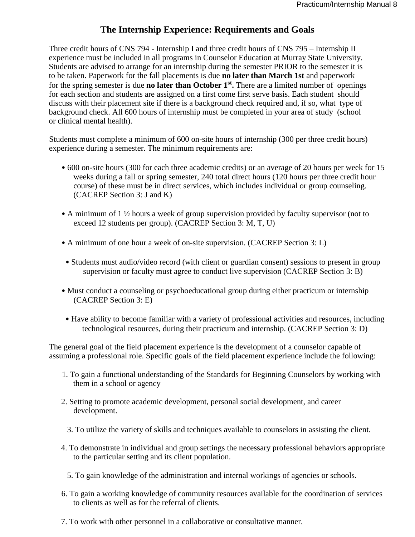# **The Internship Experience: Requirements and Goals**

Three credit hours of CNS 794 - Internship I and three credit hours of CNS 795 – Internship II experience must be included in all programs in Counselor Education at Murray State University. Students are advised to arrange for an internship during the semester PRIOR to the semester it is to be taken. Paperwork for the fall placements is due **no later than March 1st** and paperwork for the spring semester is due **no later than October 1st .** There are a limited number of openings for each section and students are assigned on a first come first serve basis. Each student should discuss with their placement site if there is a background check required and, if so, what type of background check. All 600 hours of internship must be completed in your area of study (school or clinical mental health).

Students must complete a minimum of 600 on-site hours of internship (300 per three credit hours) experience during a semester. The minimum requirements are:

- 600 on-site hours (300 for each three academic credits) or an average of 20 hours per week for 15 weeks during a fall or spring semester, 240 total direct hours (120 hours per three credit hour course) of these must be in direct services, which includes individual or group counseling. (CACREP Section 3: J and K)
- A minimum of 1 ½ hours a week of group supervision provided by faculty supervisor (not to exceed 12 students per group). (CACREP Section 3: M, T, U)
- A minimum of one hour a week of on-site supervision. (CACREP Section 3: L)
- Students must audio/video record (with client or guardian consent) sessions to present in group supervision or faculty must agree to conduct live supervision (CACREP Section 3: B)
- Must conduct a counseling or psychoeducational group during either practicum or internship (CACREP Section 3: E)
- Have ability to become familiar with a variety of professional activities and resources, including technological resources, during their practicum and internship. (CACREP Section 3: D)

The general goal of the field placement experience is the development of a counselor capable of assuming a professional role. Specific goals of the field placement experience include the following:

- 1. To gain a functional understanding of the Standards for Beginning Counselors by working with them in a school or agency
- 2. Setting to promote academic development, personal social development, and career development.
	- 3. To utilize the variety of skills and techniques available to counselors in assisting the client.
- 4. To demonstrate in individual and group settings the necessary professional behaviors appropriate to the particular setting and its client population.
	- 5. To gain knowledge of the administration and internal workings of agencies or schools.
- 6. To gain a working knowledge of community resources available for the coordination of services to clients as well as for the referral of clients.
- 7. To work with other personnel in a collaborative or consultative manner.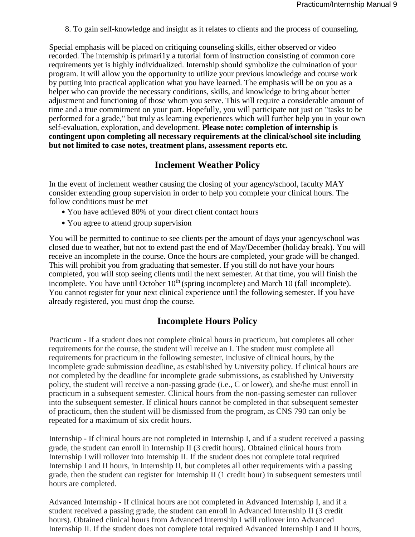8. To gain self-knowledge and insight as it relates to clients and the process of counseling.

Special emphasis will be placed on critiquing counseling skills, either observed or video recorded. The internship is primari1y a tutorial form of instruction consisting of common core requirements yet is highly individualized. Internship should symbolize the culmination of your program. It will allow you the opportunity to utilize your previous knowledge and course work by putting into practical application what you have learned. The emphasis will be on you as a helper who can provide the necessary conditions, skills, and knowledge to bring about better adjustment and functioning of those whom you serve. This will require a considerable amount of time and a true commitment on your part. Hopefully, you will participate not just on "tasks to be performed for a grade," but truly as learning experiences which will further help you in your own self-evaluation, exploration, and development. **Please note: completion of internship is contingent upon completing all necessary requirements at the clinical/school site including but not limited to case notes, treatment plans, assessment reports etc.** 

## **Inclement Weather Policy**

In the event of inclement weather causing the closing of your agency/school, faculty MAY consider extending group supervision in order to help you complete your clinical hours. The follow conditions must be met

- You have achieved 80% of your direct client contact hours
- You agree to attend group supervision

You will be permitted to continue to see clients per the amount of days your agency/school was closed due to weather, but not to extend past the end of May/December (holiday break). You will receive an incomplete in the course. Once the hours are completed, your grade will be changed. This will prohibit you from graduating that semester. If you still do not have your hours completed, you will stop seeing clients until the next semester. At that time, you will finish the incomplete. You have until October  $10<sup>th</sup>$  (spring incomplete) and March 10 (fall incomplete). You cannot register for your next clinical experience until the following semester. If you have already registered, you must drop the course.

# **Incomplete Hours Policy**

Practicum - If a student does not complete clinical hours in practicum, but completes all other requirements for the course, the student will receive an I. The student must complete all requirements for practicum in the following semester, inclusive of clinical hours, by the incomplete grade submission deadline, as established by University policy. If clinical hours are not completed by the deadline for incomplete grade submissions, as established by University policy, the student will receive a non-passing grade (i.e., C or lower), and she/he must enroll in practicum in a subsequent semester. Clinical hours from the non-passing semester can rollover into the subsequent semester. If clinical hours cannot be completed in that subsequent semester of practicum, then the student will be dismissed from the program, as CNS 790 can only be repeated for a maximum of six credit hours.

Internship - If clinical hours are not completed in Internship I, and if a student received a passing grade, the student can enroll in Internship II (3 credit hours). Obtained clinical hours from Internship I will rollover into Internship II. If the student does not complete total required Internship I and II hours, in Internship II, but completes all other requirements with a passing grade, then the student can register for Internship II (1 credit hour) in subsequent semesters until hours are completed.

Advanced Internship - If clinical hours are not completed in Advanced Internship I, and if a student received a passing grade, the student can enroll in Advanced Internship II (3 credit hours). Obtained clinical hours from Advanced Internship I will rollover into Advanced Internship II. If the student does not complete total required Advanced Internship I and II hours,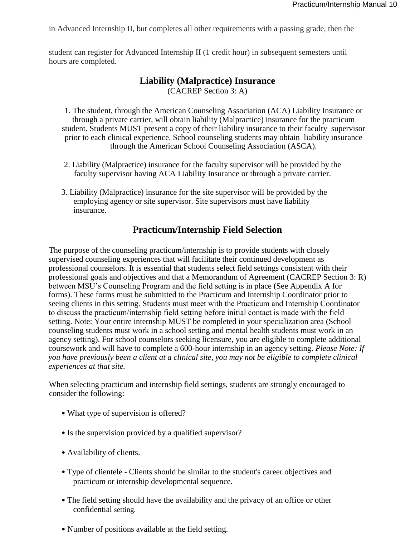in Advanced Internship II, but completes all other requirements with a passing grade, then the

student can register for Advanced Internship II (1 credit hour) in subsequent semesters until hours are completed.

## **Liability (Malpractice) Insurance**  (CACREP Section 3: A)

1. The student, through the American Counseling Association (ACA) Liability Insurance or through a private carrier, will obtain liability (Malpractice) insurance for the practicum student. Students MUST present a copy of their liability insurance to their faculty supervisor prior to each clinical experience. School counseling students may obtain liability insurance through the American School Counseling Association (ASCA).

- 2. Liability (Malpractice) insurance for the faculty supervisor will be provided by the faculty supervisor having ACA Liability Insurance or through a private carrier.
- 3. Liability (Malpractice) insurance for the site supervisor will be provided by the employing agency or site supervisor. Site supervisors must have liability insurance.

#### **Practicum/Internship Field Selection**

The purpose of the counseling practicum/internship is to provide students with closely supervised counseling experiences that will facilitate their continued development as professional counselors. It is essential that students select field settings consistent with their professional goals and objectives and that a Memorandum of Agreement (CACREP Section 3: R) between MSU's Counseling Program and the field setting is in place (See Appendix A for forms). These forms must be submitted to the Practicum and Internship Coordinator prior to seeing clients in this setting. Students must meet with the Practicum and Internship Coordinator to discuss the practicum/internship field setting before initial contact is made with the field setting. Note: Your entire internship MUST be completed in your specialization area (School counseling students must work in a school setting and mental health students must work in an agency setting). For school counselors seeking licensure, you are eligible to complete additional coursework and will have to complete a 600-hour internship in an agency setting. *Please Note: If you have previously been a client at a clinical site, you may not be eligible to complete clinical experiences at that site.* 

When selecting practicum and internship field settings, students are strongly encouraged to consider the following:

- What type of supervision is offered?
- Is the supervision provided by a qualified supervisor?
- Availability of clients.
- Type of clientele Clients should be similar to the student's career objectives and practicum or internship developmental sequence.
- The field setting should have the availability and the privacy of an office or other confidential setting.
- Number of positions available at the field setting.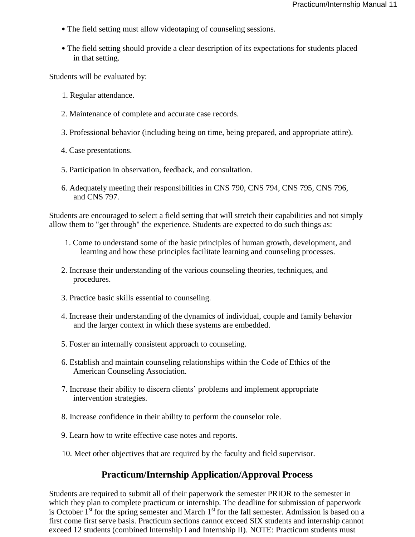- The field setting must allow videotaping of counseling sessions.
- The field setting should provide a clear description of its expectations for students placed in that setting.

Students will be evaluated by:

- 1. Regular attendance.
- 2. Maintenance of complete and accurate case records.
- 3. Professional behavior (including being on time, being prepared, and appropriate attire).
- 4. Case presentations.
- 5. Participation in observation, feedback, and consultation.
- 6. Adequately meeting their responsibilities in CNS 790, CNS 794, CNS 795, CNS 796, and CNS 797.

Students are encouraged to select a field setting that will stretch their capabilities and not simply allow them to "get through" the experience. Students are expected to do such things as:

- 1. Come to understand some of the basic principles of human growth, development, and learning and how these principles facilitate learning and counseling processes.
- 2. Increase their understanding of the various counseling theories, techniques, and procedures.
- 3. Practice basic skills essential to counseling.
- 4. Increase their understanding of the dynamics of individual, couple and family behavior and the larger context in which these systems are embedded.
- 5. Foster an internally consistent approach to counseling.
- 6. Establish and maintain counseling relationships within the Code of Ethics of the American Counseling Association.
- 7. Increase their ability to discern clients' problems and implement appropriate intervention strategies.
- 8. Increase confidence in their ability to perform the counselor role.
- 9. Learn how to write effective case notes and reports.
- 10. Meet other objectives that are required by the faculty and field supervisor.

#### **Practicum/Internship Application/Approval Process**

Students are required to submit all of their paperwork the semester PRIOR to the semester in which they plan to complete practicum or internship. The deadline for submission of paperwork is October  $1<sup>st</sup>$  for the spring semester and March  $1<sup>st</sup>$  for the fall semester. Admission is based on a first come first serve basis. Practicum sections cannot exceed SIX students and internship cannot exceed 12 students (combined Internship I and Internship II). NOTE: Practicum students must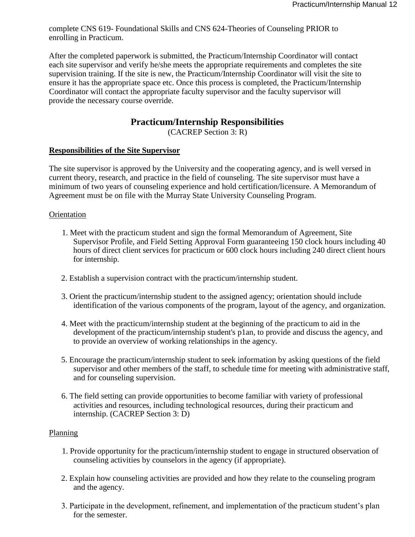complete CNS 619- Foundational Skills and CNS 624-Theories of Counseling PRIOR to enrolling in Practicum.

After the completed paperwork is submitted, the Practicum/Internship Coordinator will contact each site supervisor and verify he/she meets the appropriate requirements and completes the site supervision training. If the site is new, the Practicum/Internship Coordinator will visit the site to ensure it has the appropriate space etc. Once this process is completed, the Practicum/Internship Coordinator will contact the appropriate faculty supervisor and the faculty supervisor will provide the necessary course override.

## **Practicum/Internship Responsibilities**

(CACREP Section 3: R)

#### **Responsibilities of the Site Supervisor**

The site supervisor is approved by the University and the cooperating agency, and is well versed in current theory, research, and practice in the field of counseling. The site supervisor must have a minimum of two years of counseling experience and hold certification/licensure. A Memorandum of Agreement must be on file with the Murray State University Counseling Program.

#### Orientation

- 1. Meet with the practicum student and sign the formal Memorandum of Agreement, Site Supervisor Profile, and Field Setting Approval Form guaranteeing 150 clock hours including 40 hours of direct client services for practicum or 600 clock hours including 240 direct client hours for internship.
- 2. Establish a supervision contract with the practicum/internship student.
- 3. Orient the practicum/internship student to the assigned agency; orientation should include identification of the various components of the program, layout of the agency, and organization.
- 4. Meet with the practicum/internship student at the beginning of the practicum to aid in the development of the practicum/internship student's p1an, to provide and discuss the agency, and to provide an overview of working relationships in the agency.
- 5. Encourage the practicum/internship student to seek information by asking questions of the field supervisor and other members of the staff, to schedule time for meeting with administrative staff, and for counseling supervision.
- 6. The field setting can provide opportunities to become familiar with variety of professional activities and resources, including technological resources, during their practicum and internship. (CACREP Section 3: D)

#### Planning

- 1. Provide opportunity for the practicum/internship student to engage in structured observation of counseling activities by counselors in the agency (if appropriate).
- 2. Explain how counseling activities are provided and how they relate to the counseling program and the agency.
- 3. Participate in the development, refinement, and implementation of the practicum student's plan for the semester.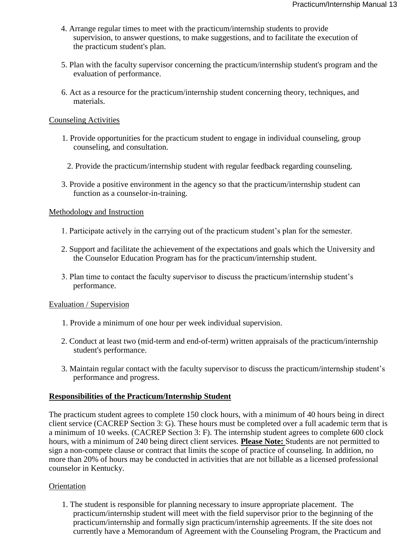- 4. Arrange regular times to meet with the practicum/internship students to provide supervision, to answer questions, to make suggestions, and to facilitate the execution of the practicum student's plan.
- 5. Plan with the faculty supervisor concerning the practicum/internship student's program and the evaluation of performance.
- 6. Act as a resource for the practicum/internship student concerning theory, techniques, and materials.

#### Counseling Activities

- 1. Provide opportunities for the practicum student to engage in individual counseling, group counseling, and consultation.
	- 2. Provide the practicum/internship student with regular feedback regarding counseling.
- 3. Provide a positive environment in the agency so that the practicum/internship student can function as a counselor-in-training.

#### Methodology and Instruction

- 1. Participate actively in the carrying out of the practicum student's plan for the semester.
- 2. Support and facilitate the achievement of the expectations and goals which the University and the Counselor Education Program has for the practicum/internship student.
- 3. Plan time to contact the faculty supervisor to discuss the practicum/internship student's performance.

#### Evaluation / Supervision

- 1. Provide a minimum of one hour per week individual supervision.
- 2. Conduct at least two (mid-term and end-of-term) written appraisals of the practicum/internship student's performance.
- 3. Maintain regular contact with the faculty supervisor to discuss the practicum/internship student's performance and progress.

#### **Responsibilities of the Practicum/Internship Student**

The practicum student agrees to complete 150 clock hours, with a minimum of 40 hours being in direct client service (CACREP Section 3: G). These hours must be completed over a full academic term that is a minimum of 10 weeks. (CACREP Section 3: F). The internship student agrees to complete 600 clock hours, with a minimum of 240 being direct client services. **Please Note:** Students are not permitted to sign a non-compete clause or contract that limits the scope of practice of counseling. In addition, no more than 20% of hours may be conducted in activities that are not billable as a licensed professional counselor in Kentucky.

#### **Orientation**

1. The student is responsible for planning necessary to insure appropriate placement. The practicum/internship student will meet with the field supervisor prior to the beginning of the practicum/internship and formally sign practicum/internship agreements. If the site does not currently have a Memorandum of Agreement with the Counseling Program, the Practicum and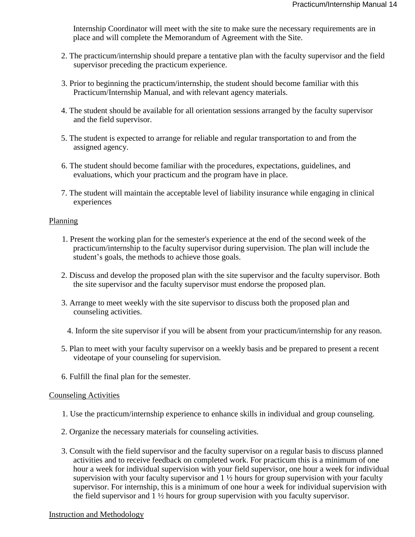Internship Coordinator will meet with the site to make sure the necessary requirements are in place and will complete the Memorandum of Agreement with the Site.

- 2. The practicum/internship should prepare a tentative plan with the faculty supervisor and the field supervisor preceding the practicum experience.
- 3. Prior to beginning the practicum/internship, the student should become familiar with this Practicum/Internship Manual, and with relevant agency materials.
- 4. The student should be available for all orientation sessions arranged by the faculty supervisor and the field supervisor.
- 5. The student is expected to arrange for reliable and regular transportation to and from the assigned agency.
- 6. The student should become familiar with the procedures, expectations, guidelines, and evaluations, which your practicum and the program have in place.
- 7. The student will maintain the acceptable level of liability insurance while engaging in clinical experiences

#### Planning

- 1. Present the working plan for the semester's experience at the end of the second week of the practicum/internship to the faculty supervisor during supervision. The plan will include the student's goals, the methods to achieve those goals.
- 2. Discuss and develop the proposed plan with the site supervisor and the faculty supervisor. Both the site supervisor and the faculty supervisor must endorse the proposed plan.
- 3. Arrange to meet weekly with the site supervisor to discuss both the proposed plan and counseling activities.
	- 4. Inform the site supervisor if you will be absent from your practicum/internship for any reason.
- 5. Plan to meet with your faculty supervisor on a weekly basis and be prepared to present a recent videotape of your counseling for supervision.
- 6. Fulfill the final plan for the semester.

#### Counseling Activities

- 1. Use the practicum/internship experience to enhance skills in individual and group counseling.
- 2. Organize the necessary materials for counseling activities.
- 3. Consult with the field supervisor and the faculty supervisor on a regular basis to discuss planned activities and to receive feedback on completed work. For practicum this is a minimum of one hour a week for individual supervision with your field supervisor, one hour a week for individual supervision with your faculty supervisor and 1 ½ hours for group supervision with your faculty supervisor. For internship, this is a minimum of one hour a week for individual supervision with the field supervisor and 1 ½ hours for group supervision with you faculty supervisor.

#### Instruction and Methodology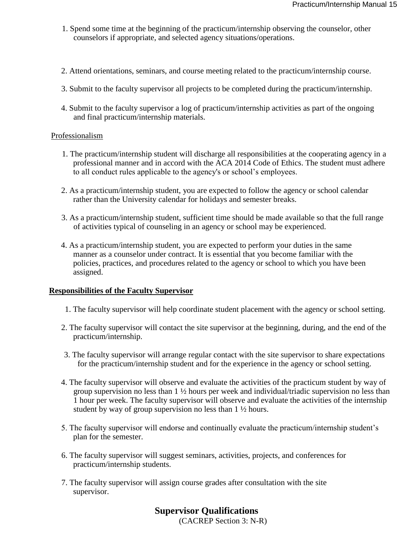- 1. Spend some time at the beginning of the practicum/internship observing the counselor, other counselors if appropriate, and selected agency situations/operations.
- 2. Attend orientations, seminars, and course meeting related to the practicum/internship course.
- 3. Submit to the faculty supervisor all projects to be completed during the practicum/internship.
- 4. Submit to the faculty supervisor a log of practicum/internship activities as part of the ongoing and final practicum/internship materials.

#### Professionalism

- 1. The practicum/internship student will discharge all responsibilities at the cooperating agency in a professional manner and in accord with the ACA 2014 Code of Ethics. The student must adhere to all conduct rules applicable to the agency's or school's employees.
- 2. As a practicum/internship student, you are expected to follow the agency or school calendar rather than the University calendar for holidays and semester breaks.
- 3. As a practicum/internship student, sufficient time should be made available so that the full range of activities typical of counseling in an agency or school may be experienced.
- 4. As a practicum/internship student, you are expected to perform your duties in the same manner as a counselor under contract. It is essential that you become familiar with the policies, practices, and procedures related to the agency or school to which you have been assigned.

#### **Responsibilities of the Faculty Supervisor**

- 1. The faculty supervisor will help coordinate student placement with the agency or school setting.
- 2. The faculty supervisor will contact the site supervisor at the beginning, during, and the end of the practicum/internship.
- 3. The faculty supervisor will arrange regular contact with the site supervisor to share expectations for the practicum/internship student and for the experience in the agency or school setting.
- 4. The faculty supervisor will observe and evaluate the activities of the practicum student by way of group supervision no less than 1 ½ hours per week and individual/triadic supervision no less than 1 hour per week. The faculty supervisor will observe and evaluate the activities of the internship student by way of group supervision no less than 1 ½ hours.
- 5. The faculty supervisor will endorse and continually evaluate the practicum/internship student's plan for the semester.
- 6. The faculty supervisor will suggest seminars, activities, projects, and conferences for practicum/internship students.
- 7. The faculty supervisor will assign course grades after consultation with the site supervisor.

# **Supervisor Qualifications**

(CACREP Section 3: N-R)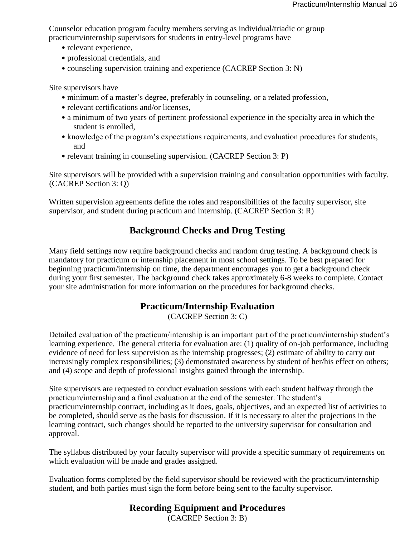Counselor education program faculty members serving as individual/triadic or group practicum/internship supervisors for students in entry-level programs have

- relevant experience,
- professional credentials, and
- counseling supervision training and experience (CACREP Section 3: N)

Site supervisors have

- minimum of a master's degree, preferably in counseling, or a related profession,
- relevant certifications and/or licenses,
- a minimum of two years of pertinent professional experience in the specialty area in which the student is enrolled,
- knowledge of the program's expectations requirements, and evaluation procedures for students, and
- relevant training in counseling supervision. (CACREP Section 3: P)

Site supervisors will be provided with a supervision training and consultation opportunities with faculty. (CACREP Section 3: Q)

Written supervision agreements define the roles and responsibilities of the faculty supervisor, site supervisor, and student during practicum and internship. (CACREP Section 3: R)

# **Background Checks and Drug Testing**

Many field settings now require background checks and random drug testing. A background check is mandatory for practicum or internship placement in most school settings. To be best prepared for beginning practicum/internship on time, the department encourages you to get a background check during your first semester. The background check takes approximately 6-8 weeks to complete. Contact your site administration for more information on the procedures for background checks.

# **Practicum/Internship Evaluation**

(CACREP Section 3: C)

Detailed evaluation of the practicum/internship is an important part of the practicum/internship student's learning experience. The general criteria for evaluation are: (1) quality of on-job performance, including evidence of need for less supervision as the internship progresses; (2) estimate of ability to carry out increasingly complex responsibilities; (3) demonstrated awareness by student of her/his effect on others; and (4) scope and depth of professional insights gained through the internship.

Site supervisors are requested to conduct evaluation sessions with each student halfway through the practicum/internship and a final evaluation at the end of the semester. The student's practicum/internship contract, including as it does, goals, objectives, and an expected list of activities to be completed, should serve as the basis for discussion. If it is necessary to alter the projections in the learning contract, such changes should be reported to the university supervisor for consultation and approval.

The syllabus distributed by your faculty supervisor will provide a specific summary of requirements on which evaluation will be made and grades assigned.

Evaluation forms completed by the field supervisor should be reviewed with the practicum/internship student, and both parties must sign the form before being sent to the faculty supervisor.

# **Recording Equipment and Procedures**

(CACREP Section 3: B)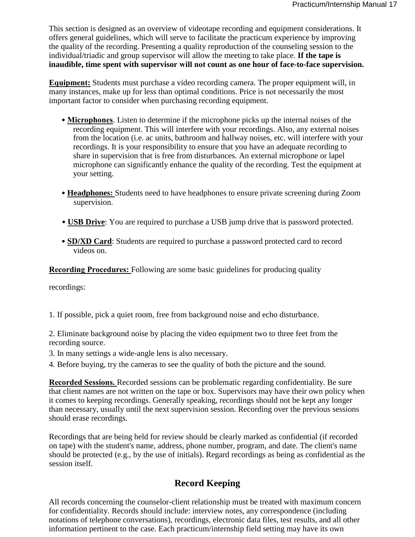This section is designed as an overview of videotape recording and equipment considerations. It offers general guidelines, which will serve to facilitate the practicum experience by improving the quality of the recording. Presenting a quality reproduction of the counseling session to the individual/triadic and group supervisor will allow the meeting to take place. **If the tape is inaudible, time spent with supervisor will not count as one hour of face-to-face supervision.** 

**Equipment:** Students must purchase a video recording camera. The proper equipment will, in many instances, make up for less than optimal conditions. Price is not necessarily the most important factor to consider when purchasing recording equipment.

- **Microphones**. Listen to determine if the microphone picks up the internal noises of the recording equipment. This will interfere with your recordings. Also, any external noises from the location (i.e. ac units, bathroom and hallway noises, etc. will interfere with your recordings. It is your responsibility to ensure that you have an adequate recording to share in supervision that is free from disturbances. An external microphone or lapel microphone can significantly enhance the quality of the recording. Test the equipment at your setting.
- **Headphones:** Students need to have headphones to ensure private screening during Zoom supervision.
- **USB Drive**: You are required to purchase a USB jump drive that is password protected.
- **SD/XD Card**: Students are required to purchase a password protected card to record videos on.

**Recording Procedures:** Following are some basic guidelines for producing quality

recordings:

1. If possible, pick a quiet room, free from background noise and echo disturbance.

2. Eliminate background noise by placing the video equipment two to three feet from the recording source.

- 3. In many settings a wide-angle lens is also necessary.
- 4. Before buying, try the cameras to see the quality of both the picture and the sound.

**Recorded Sessions.** Recorded sessions can be problematic regarding confidentiality. Be sure that client names are not written on the tape or box. Supervisors may have their own policy when it comes to keeping recordings. Generally speaking, recordings should not be kept any longer than necessary, usually until the next supervision session. Recording over the previous sessions should erase recordings.

Recordings that are being held for review should be clearly marked as confidential (if recorded on tape) with the student's name, address, phone number, program, and date. The client's name should be protected (e.g., by the use of initials). Regard recordings as being as confidential as the session itself.

# **Record Keeping**

All records concerning the counselor-client relationship must be treated with maximum concern for confidentiality. Records should include: interview notes, any correspondence (including notations of telephone conversations), recordings, electronic data files, test results, and all other information pertinent to the case. Each practicum/internship field setting may have its own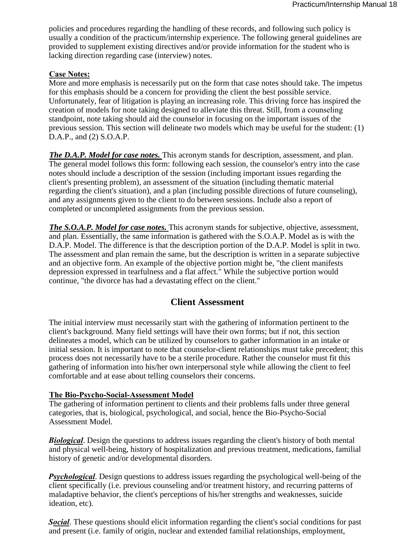policies and procedures regarding the handling of these records, and following such policy is usually a condition of the practicum/internship experience. The following general guidelines are provided to supplement existing directives and/or provide information for the student who is lacking direction regarding case (interview) notes.

#### **Case Notes:**

More and more emphasis is necessarily put on the form that case notes should take. The impetus for this emphasis should be a concern for providing the client the best possible service. Unfortunately, fear of litigation is playing an increasing role. This driving force has inspired the creation of models for note taking designed to alleviate this threat. Still, from a counseling standpoint, note taking should aid the counselor in focusing on the important issues of the previous session. This section will delineate two models which may be useful for the student: (1) D.A.P., and (2) S.O.A.P.

*The D.A.P. Model for case notes.* This acronym stands for description, assessment, and plan. The general model follows this form: following each session, the counselor's entry into the case notes should include a description of the session (including important issues regarding the client's presenting problem), an assessment of the situation (including thematic material regarding the client's situation), and a plan (including possible directions of future counseling), and any assignments given to the client to do between sessions. Include also a report of completed or uncompleted assignments from the previous session.

*The S.O.A.P. Model for case notes.* This acronym stands for subjective, objective, assessment, and plan. Essentially, the same information is gathered with the S.O.A.P. Model as is with the D.A.P. Model. The difference is that the description portion of the D.A.P. Model is split in two. The assessment and plan remain the same, but the description is written in a separate subjective and an objective form. An example of the objective portion might be, "the client manifests depression expressed in tearfulness and a flat affect." While the subjective portion would continue, "the divorce has had a devastating effect on the client."

#### **Client Assessment**

The initial interview must necessarily start with the gathering of information pertinent to the client's background. Many field settings will have their own forms; but if not, this section delineates a model, which can be utilized by counselors to gather information in an intake or initial session. It is important to note that counselor-client relationships must take precedent; this process does not necessarily have to be a sterile procedure. Rather the counselor must fit this gathering of information into his/her own interpersonal style while allowing the client to feel comfortable and at ease about telling counselors their concerns.

#### **The Bio-Psycho-Social-Assessment Model**

The gathering of information pertinent to clients and their problems falls under three general categories, that is, biological, psychological, and social, hence the Bio-Psycho-Social Assessment Model.

*Biological*. Design the questions to address issues regarding the client's history of both mental and physical well-being, history of hospitalization and previous treatment, medications, familial history of genetic and/or developmental disorders.

*Psychological*. Design questions to address issues regarding the psychological well-being of the client specifically (i.e. previous counseling and/or treatment history, and recurring patterns of maladaptive behavior, the client's perceptions of his/her strengths and weaknesses, suicide ideation, etc).

*Social*. These questions should elicit information regarding the client's social conditions for past and present (i.e. family of origin, nuclear and extended familial relationships, employment,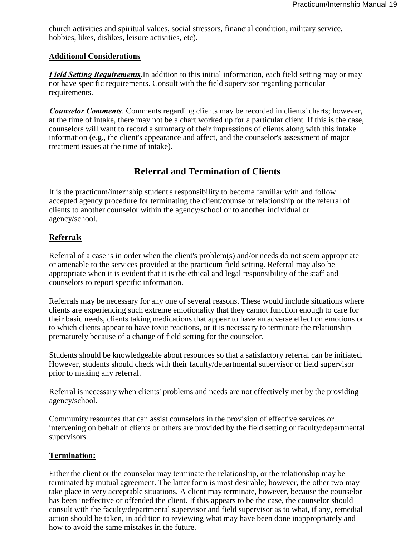church activities and spiritual values, social stressors, financial condition, military service, hobbies, likes, dislikes, leisure activities, etc).

#### **Additional Considerations**

*Field Setting Requirements*.In addition to this initial information, each field setting may or may not have specific requirements. Consult with the field supervisor regarding particular requirements.

*Counselor Comments*. Comments regarding clients may be recorded in clients' charts; however, at the time of intake, there may not be a chart worked up for a particular client. If this is the case, counselors will want to record a summary of their impressions of clients along with this intake information (e.g., the client's appearance and affect, and the counselor's assessment of major treatment issues at the time of intake).

## **Referral and Termination of Clients**

It is the practicum/internship student's responsibility to become familiar with and follow accepted agency procedure for terminating the client/counselor relationship or the referral of clients to another counselor within the agency/school or to another individual or agency/school.

#### **Referrals**

Referral of a case is in order when the client's problem(s) and/or needs do not seem appropriate or amenable to the services provided at the practicum field setting. Referral may also be appropriate when it is evident that it is the ethical and legal responsibility of the staff and counselors to report specific information.

Referrals may be necessary for any one of several reasons. These would include situations where clients are experiencing such extreme emotionality that they cannot function enough to care for their basic needs, clients taking medications that appear to have an adverse effect on emotions or to which clients appear to have toxic reactions, or it is necessary to terminate the relationship prematurely because of a change of field setting for the counselor.

Students should be knowledgeable about resources so that a satisfactory referral can be initiated. However, students should check with their faculty/departmental supervisor or field supervisor prior to making any referral.

Referral is necessary when clients' problems and needs are not effectively met by the providing agency/school.

Community resources that can assist counselors in the provision of effective services or intervening on behalf of clients or others are provided by the field setting or faculty/departmental supervisors.

#### **Termination:**

Either the client or the counselor may terminate the relationship, or the relationship may be terminated by mutual agreement. The latter form is most desirable; however, the other two may take place in very acceptable situations. A client may terminate, however, because the counselor has been ineffective or offended the client. If this appears to be the case, the counselor should consult with the faculty/departmental supervisor and field supervisor as to what, if any, remedial action should be taken, in addition to reviewing what may have been done inappropriately and how to avoid the same mistakes in the future.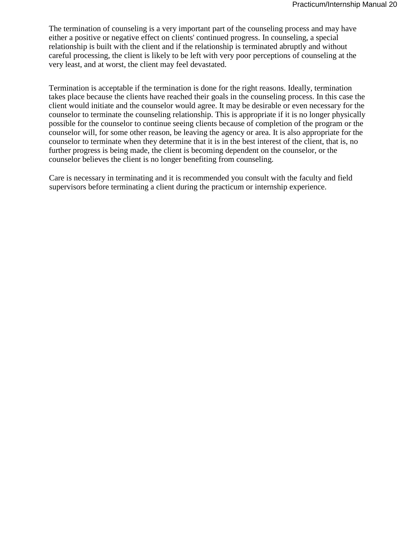The termination of counseling is a very important part of the counseling process and may have either a positive or negative effect on clients' continued progress. In counseling, a special relationship is built with the client and if the relationship is terminated abruptly and without careful processing, the client is likely to be left with very poor perceptions of counseling at the very least, and at worst, the client may feel devastated.

Termination is acceptable if the termination is done for the right reasons. Ideally, termination takes place because the clients have reached their goals in the counseling process. In this case the client would initiate and the counselor would agree. It may be desirable or even necessary for the counselor to terminate the counseling relationship. This is appropriate if it is no longer physically possible for the counselor to continue seeing clients because of completion of the program or the counselor will, for some other reason, be leaving the agency or area. It is also appropriate for the counselor to terminate when they determine that it is in the best interest of the client, that is, no further progress is being made, the client is becoming dependent on the counselor, or the counselor believes the client is no longer benefiting from counseling.

Care is necessary in terminating and it is recommended you consult with the faculty and field supervisors before terminating a client during the practicum or internship experience.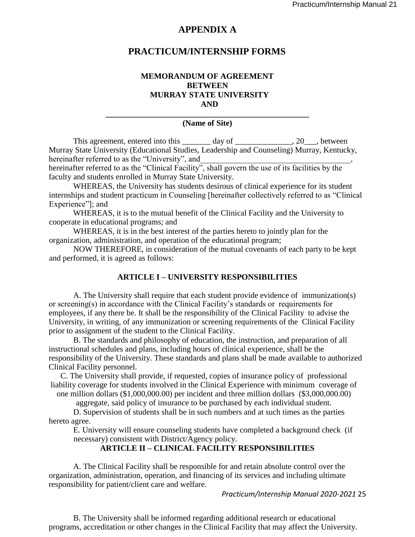#### **APPENDIX A**

#### **PRACTICUM/INTERNSHIP FORMS**

#### **MEMORANDUM OF AGREEMENT BETWEEN MURRAY STATE UNIVERSITY AND**

#### **\_\_\_\_\_\_\_\_\_\_\_\_\_\_\_\_\_\_\_\_\_\_\_\_\_\_\_\_\_\_\_\_\_\_\_\_\_\_\_\_\_\_\_\_\_\_\_\_\_\_ (Name of Site)**

This agreement, entered into this \_\_\_\_\_\_\_ day of \_\_\_\_\_\_\_\_\_\_\_\_, 20\_\_\_, between Murray State University (Educational Studies, Leadership and Counseling) Murray, Kentucky, hereinafter referred to as the "University", and

hereinafter referred to as the "Clinical Facility", shall govern the use of its facilities by the faculty and students enrolled in Murray State University.

WHEREAS, the University has students desirous of clinical experience for its student internships and student practicum in Counseling [hereinafter collectively referred to as "Clinical Experience"]; and

WHEREAS, it is to the mutual benefit of the Clinical Facility and the University to cooperate in educational programs; and

WHEREAS, it is in the best interest of the parties hereto to jointly plan for the organization, administration, and operation of the educational program;

NOW THEREFORE, in consideration of the mutual covenants of each party to be kept and performed, it is agreed as follows:

#### **ARTICLE I – UNIVERSITY RESPONSIBILITIES**

A. The University shall require that each student provide evidence of immunization(s) or screening(s) in accordance with the Clinical Facility's standards or requirements for employees, if any there be. It shall be the responsibility of the Clinical Facility to advise the University, in writing, of any immunization or screening requirements of the Clinical Facility prior to assignment of the student to the Clinical Facility.

B. The standards and philosophy of education, the instruction, and preparation of all instructional schedules and plans, including hours of clinical experience, shall be the responsibility of the University. These standards and plans shall be made available to authorized Clinical Facility personnel.

C. The University shall provide, if requested, copies of insurance policy of professional liability coverage for students involved in the Clinical Experience with minimum coverage of one million dollars (\$1,000,000.00) per incident and three million dollars (\$3,000,000.00)

aggregate, said policy of insurance to be purchased by each individual student.

D. Supervision of students shall be in such numbers and at such times as the parties hereto agree.

E. University will ensure counseling students have completed a background check (if necessary) consistent with District/Agency policy.

#### **ARTICLE II – CLINICAL FACILITY RESPONSIBILITIES**

A. The Clinical Facility shall be responsible for and retain absolute control over the organization, administration, operation, and financing of its services and including ultimate responsibility for patient/client care and welfare.

#### *Practicum/Internship Manual 2020-2021* 25

B. The University shall be informed regarding additional research or educational programs, accreditation or other changes in the Clinical Facility that may affect the University.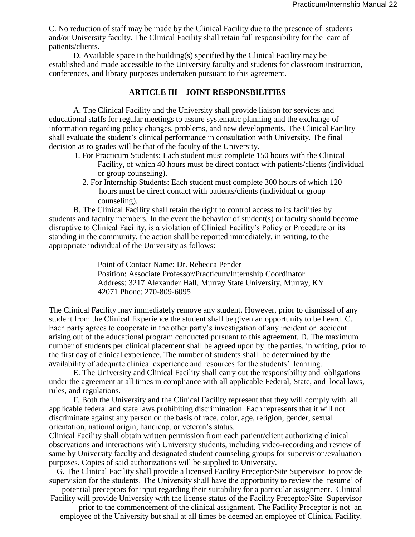C. No reduction of staff may be made by the Clinical Facility due to the presence of students and/or University faculty. The Clinical Facility shall retain full responsibility for the care of patients/clients.

D. Available space in the building(s) specified by the Clinical Facility may be established and made accessible to the University faculty and students for classroom instruction, conferences, and library purposes undertaken pursuant to this agreement.

#### **ARTICLE III – JOINT RESPONSBILITIES**

A. The Clinical Facility and the University shall provide liaison for services and educational staffs for regular meetings to assure systematic planning and the exchange of information regarding policy changes, problems, and new developments. The Clinical Facility shall evaluate the student's clinical performance in consultation with University. The final decision as to grades will be that of the faculty of the University.

- 1. For Practicum Students: Each student must complete 150 hours with the Clinical Facility, of which 40 hours must be direct contact with patients/clients (individual or group counseling).
	- 2. For Internship Students: Each student must complete 300 hours of which 120 hours must be direct contact with patients/clients (individual or group counseling).

B. The Clinical Facility shall retain the right to control access to its facilities by students and faculty members. In the event the behavior of student(s) or faculty should become disruptive to Clinical Facility, is a violation of Clinical Facility's Policy or Procedure or its standing in the community, the action shall be reported immediately, in writing, to the appropriate individual of the University as follows:

> Point of Contact Name: Dr. Rebecca Pender Position: Associate Professor/Practicum/Internship Coordinator Address: 3217 Alexander Hall, Murray State University, Murray, KY 42071 Phone: 270-809-6095

The Clinical Facility may immediately remove any student. However, prior to dismissal of any student from the Clinical Experience the student shall be given an opportunity to be heard. C. Each party agrees to cooperate in the other party's investigation of any incident or accident arising out of the educational program conducted pursuant to this agreement. D. The maximum number of students per clinical placement shall be agreed upon by the parties, in writing, prior to the first day of clinical experience. The number of students shall be determined by the availability of adequate clinical experience and resources for the students' learning.

E. The University and Clinical Facility shall carry out the responsibility and obligations under the agreement at all times in compliance with all applicable Federal, State, and local laws, rules, and regulations.

F. Both the University and the Clinical Facility represent that they will comply with all applicable federal and state laws prohibiting discrimination. Each represents that it will not discriminate against any person on the basis of race, color, age, religion, gender, sexual orientation, national origin, handicap, or veteran's status.

Clinical Facility shall obtain written permission from each patient/client authorizing clinical observations and interactions with University students, including video-recording and review of same by University faculty and designated student counseling groups for supervision/evaluation purposes. Copies of said authorizations will be supplied to University.

G. The Clinical Facility shall provide a licensed Facility Preceptor/Site Supervisor to provide supervision for the students. The University shall have the opportunity to review the resume' of

potential preceptors for input regarding their suitability for a particular assignment. Clinical Facility will provide University with the license status of the Facility Preceptor/Site Supervisor

prior to the commencement of the clinical assignment. The Facility Preceptor is not an employee of the University but shall at all times be deemed an employee of Clinical Facility.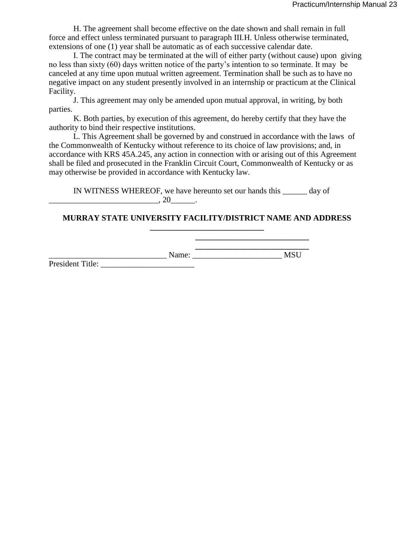H. The agreement shall become effective on the date shown and shall remain in full force and effect unless terminated pursuant to paragraph III.H. Unless otherwise terminated, extensions of one (1) year shall be automatic as of each successive calendar date.

I. The contract may be terminated at the will of either party (without cause) upon giving no less than sixty (60) days written notice of the party's intention to so terminate. It may be canceled at any time upon mutual written agreement. Termination shall be such as to have no negative impact on any student presently involved in an internship or practicum at the Clinical Facility.

J. This agreement may only be amended upon mutual approval, in writing, by both parties.

K. Both parties, by execution of this agreement, do hereby certify that they have the authority to bind their respective institutions.

L. This Agreement shall be governed by and construed in accordance with the laws of the Commonwealth of Kentucky without reference to its choice of law provisions; and, in accordance with KRS 45A.245, any action in connection with or arising out of this Agreement shall be filed and prosecuted in the Franklin Circuit Court, Commonwealth of Kentucky or as may otherwise be provided in accordance with Kentucky law.

IN WITNESS WHEREOF, we have hereunto set our hands this \_\_\_\_\_\_ day of \_\_\_\_\_\_\_\_\_\_\_\_\_\_\_\_\_\_\_\_\_\_\_\_\_\_\_, 20\_\_\_\_\_\_.

#### **MURRAY STATE UNIVERSITY FACILITY/DISTRICT NAME AND ADDRESS \_\_\_\_\_\_\_\_\_\_\_\_\_\_\_\_\_\_\_\_\_\_\_\_\_\_\_\_**

**\_\_\_\_\_\_\_\_\_\_\_\_\_\_\_\_\_\_\_\_\_\_\_\_\_\_\_\_**  Name: Name: Name: Name

**\_\_\_\_\_\_\_\_\_\_\_\_\_\_\_\_\_\_\_\_\_\_\_\_\_\_\_\_** 

President Title: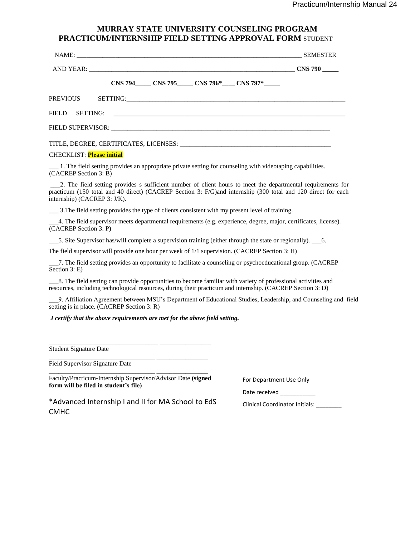#### **MURRAY STATE UNIVERSITY COUNSELING PROGRAM PRACTICUM/INTERNSHIP FIELD SETTING APPROVAL FORM** STUDENT

| NAME: SEMESTER                                                                                                                      |                |
|-------------------------------------------------------------------------------------------------------------------------------------|----------------|
|                                                                                                                                     | <b>CNS 790</b> |
| CNS 794 CNS 795 CNS 796* CNS 797*                                                                                                   |                |
|                                                                                                                                     |                |
|                                                                                                                                     |                |
|                                                                                                                                     |                |
|                                                                                                                                     |                |
| <b>CHECKLIST:</b> Please initial                                                                                                    |                |
| 1. The field setting provides an appropriate private setting for counseling with videotaping capabilities.<br>(CACREP Section 3: B) |                |
| 2. The field setting provides s sufficient number of client hours to meet the departmental requirements for                         |                |

\_\_\_2. The field setting provides s sufficient number of client hours to meet the departmental requirements for practicum (150 total and 40 direct) (CACREP Section 3: F/G)and internship (300 total and 120 direct for each internship) (CACREP 3: J/K).

\_\_\_ 3.The field setting provides the type of clients consistent with my present level of training.

\_\_\_4. The field supervisor meets departmental requirements (e.g. experience, degree, major, certificates, license). (CACREP Section 3: P)

\_\_\_5. Site Supervisor has/will complete a supervision training (either through the state or regionally). \_\_\_6.

The field supervisor will provide one hour per week of 1/1 supervision. (CACREP Section 3: H)

\_\_\_7. The field setting provides an opportunity to facilitate a counseling or psychoeducational group. (CACREP Section 3: E)

\_\_\_8. The field setting can provide opportunities to become familiar with variety of professional activities and resources, including technological resources, during their practicum and internship. (CACREP Section 3: D)

\_\_\_9. Affiliation Agreement between MSU's Department of Educational Studies, Leadership, and Counseling and field setting is in place. (CACREP Section 3: R)

#### .*I certify that the above requirements are met for the above field setting.*

Student Signature Date

CMHC

Field Supervisor Signature Date

\_\_\_\_\_\_\_\_\_\_\_\_\_\_\_\_\_\_\_\_\_\_\_\_\_\_\_\_\_\_\_\_\_ \_\_\_\_\_\_\_\_\_\_\_\_\_\_\_\_ Faculty/Practicum-Internship Supervisor/Advisor Date **(signed form will be filed in student's file)** 

\_\_\_\_\_\_\_\_\_\_\_\_\_\_\_\_\_\_\_\_\_\_\_\_\_\_\_\_\_\_\_\_\_\_ \_\_\_\_\_\_\_\_\_\_\_\_\_\_\_\_

\_\_\_\_\_\_\_\_\_\_\_\_\_\_\_\_\_\_\_\_\_\_\_\_\_\_\_\_\_\_\_\_\_ \_\_\_\_\_\_\_\_\_\_\_\_\_\_\_\_

For Department Use Only

Date received \_\_\_\_\_\_\_\_\_\_\_\_

\*Advanced Internship I and II for MA School to EdS

Clinical Coordinator Initials: \_\_\_\_\_\_\_\_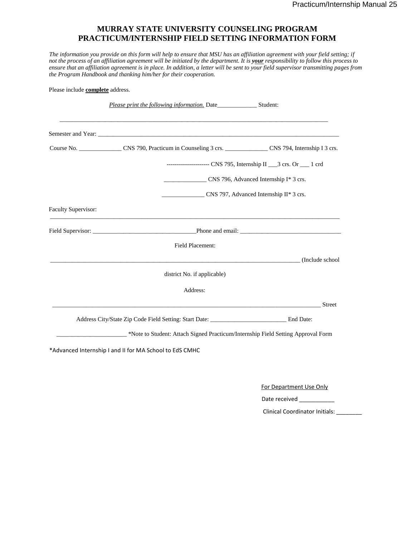#### **MURRAY STATE UNIVERSITY COUNSELING PROGRAM PRACTICUM/INTERNSHIP FIELD SETTING INFORMATION FORM**

*The information you provide on this form will help to ensure that MSU has an affiliation agreement with your field setting; if not the process of an affiliation agreement will be initiated by the department. It is your responsibility to follow this process to ensure that an affiliation agreement is in place. In addition, a letter will be sent to your field supervisor transmitting pages from the Program Handbook and thanking him/her for their cooperation.* 

| Please include <b>complete</b> address. |                                                                                                                                                                                                                               |               |
|-----------------------------------------|-------------------------------------------------------------------------------------------------------------------------------------------------------------------------------------------------------------------------------|---------------|
|                                         |                                                                                                                                                                                                                               |               |
|                                         |                                                                                                                                                                                                                               |               |
|                                         | Course No. ___________________CNS 790, Practicum in Counseling 3 crs. ______________CNS 794, Internship I 3 crs.                                                                                                              |               |
|                                         | --------------------- CNS 795, Internship II ___3 crs. Or ___ 1 crd                                                                                                                                                           |               |
|                                         | CNS 796, Advanced Internship I* 3 crs.                                                                                                                                                                                        |               |
|                                         | CNS 797, Advanced Internship II* 3 crs.                                                                                                                                                                                       |               |
| Faculty Supervisor:                     | ,我们也不能会在这里,我们的人们也不能会在这里,我们也不能会在这里,我们也不能会在这里,我们也不能会在这里,我们也不能会在这里,我们也不能会不能会不能会。""我<br>第115章 我们的人们,我们的人们的人们,我们的人们的人们,我们的人们的人们,我们的人们的人们,我们的人们的人们,我们的人们的人们,我们的人们的人们,我们的人们                                                          |               |
|                                         |                                                                                                                                                                                                                               |               |
|                                         | <b>Field Placement:</b>                                                                                                                                                                                                       |               |
|                                         | discussed and the contract of the contract of the contract of the contract of the contract of the contract of the contract of the contract of the contract of the contract of the contract of the contract of the contract of |               |
|                                         | district No. if applicable)                                                                                                                                                                                                   |               |
|                                         | Address:                                                                                                                                                                                                                      |               |
|                                         |                                                                                                                                                                                                                               | <b>Street</b> |
|                                         | Address City/State Zip Code Field Setting: Start Date: __________________________ End Date:                                                                                                                                   |               |
|                                         | *Note to Student: Attach Signed Practicum/Internship Field Setting Approval Form                                                                                                                                              |               |

\*Advanced Internship I and II for MA School to EdS CMHC

For Department Use Only

Date received \_\_\_\_\_\_\_\_\_\_\_\_\_\_

Clinical Coordinator Initials: \_\_\_\_\_\_\_\_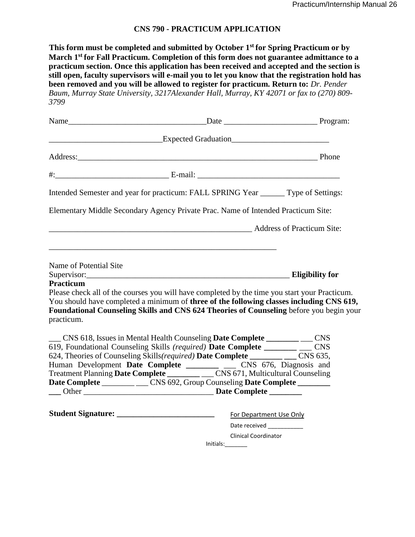#### **CNS 790 - PRACTICUM APPLICATION**

**This form must be completed and submitted by October 1st for Spring Practicum or by March 1st for Fall Practicum. Completion of this form does not guarantee admittance to a practicum section. Once this application has been received and accepted and the section is still open, faculty supervisors will e-mail you to let you know that the registration hold has been removed and you will be allowed to register for practicum. Return to:** *Dr. Pender Baum, Murray State University, 3217Alexander Hall, Murray, KY 42071 or fax to (270) 809- 3799* 

|                        | Address: Phone Phone Phone Phone Phone Phone Phone Phone Phone Phone Phone Phone Phone Phone Phone Phone Phone Phone Phone Phone Phone Phone Phone Phone Phone Phone Phone Phone Phone Phone Phone Phone Phone Phone Phone Pho                                                       |  |
|------------------------|--------------------------------------------------------------------------------------------------------------------------------------------------------------------------------------------------------------------------------------------------------------------------------------|--|
|                        |                                                                                                                                                                                                                                                                                      |  |
|                        | Intended Semester and year for practicum: FALL SPRING Year _______ Type of Settings:                                                                                                                                                                                                 |  |
|                        | Elementary Middle Secondary Agency Private Prac. Name of Intended Practicum Site:                                                                                                                                                                                                    |  |
|                        | Address of Practicum Site:                                                                                                                                                                                                                                                           |  |
| Name of Potential Site |                                                                                                                                                                                                                                                                                      |  |
| Practicum              | Supervisor: Eligibility for                                                                                                                                                                                                                                                          |  |
| practicum.             | Please check all of the courses you will have completed by the time you start your Practicum.<br>You should have completed a minimum of three of the following classes including CNS 619,<br>Foundational Counseling Skills and CNS 624 Theories of Counseling before you begin your |  |
|                        | __ CNS 618, Issues in Mental Health Counseling Date Complete _______ __ CNS                                                                                                                                                                                                          |  |
|                        | 619, Foundational Counseling Skills (required) Date Complete _______ __ CNS                                                                                                                                                                                                          |  |
|                        | 624, Theories of Counseling Skills(required) Date Complete ________ ___ CNS 635,                                                                                                                                                                                                     |  |
|                        | Human Development Date Complete _______ __ CNS 676, Diagnosis and                                                                                                                                                                                                                    |  |
|                        |                                                                                                                                                                                                                                                                                      |  |
|                        | Date Complete ________ ___ CNS 692, Group Counseling Date Complete _______                                                                                                                                                                                                           |  |
|                        |                                                                                                                                                                                                                                                                                      |  |
|                        |                                                                                                                                                                                                                                                                                      |  |
|                        | Date received ___________                                                                                                                                                                                                                                                            |  |
|                        | <b>Clinical Coordinator</b>                                                                                                                                                                                                                                                          |  |
|                        | Initials: $\frac{1}{\sqrt{1-\frac{1}{2}}}$                                                                                                                                                                                                                                           |  |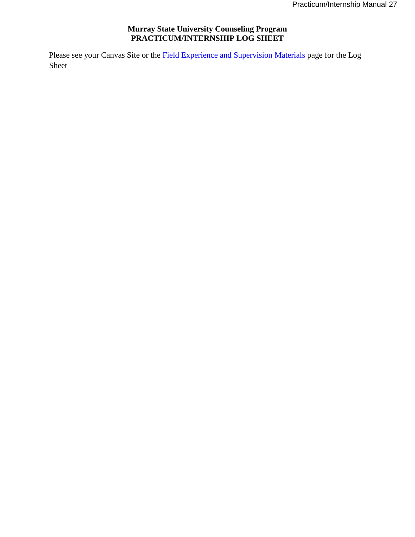#### **Murray State University Counseling Program PRACTICUM/INTERNSHIP LOG SHEET**

Please see your Canvas Site or the **Field Experience and Supervision Materials** page for the Log Sheet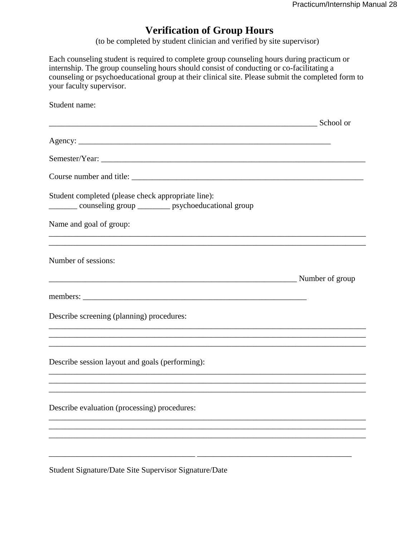# **Verification of Group Hours**

(to be completed by student clinician and verified by site supervisor)

Each counseling student is required to complete group counseling hours during practicum or internship. The group counseling hours should consist of conducting or co-facilitating a counseling or psychoeducational group at their clinical site. Please submit the completed form to your faculty supervisor.

| Student name:                                                                                                       |  |
|---------------------------------------------------------------------------------------------------------------------|--|
| School or                                                                                                           |  |
|                                                                                                                     |  |
|                                                                                                                     |  |
|                                                                                                                     |  |
| Student completed (please check appropriate line):<br>_________ counseling group __________ psychoeducational group |  |
| Name and goal of group:                                                                                             |  |
| Number of sessions:                                                                                                 |  |
|                                                                                                                     |  |
| Describe screening (planning) procedures:                                                                           |  |
| ,我们也不能在这里的时候,我们也不能在这里的时候,我们也不能会不能会不能会不能会不能会不能会不能会不能会不能会不能会。""我们的是,我们也不能会不能会不能会不能                                    |  |
| Describe session layout and goals (performing):                                                                     |  |
|                                                                                                                     |  |
| Describe evaluation (processing) procedures:                                                                        |  |
|                                                                                                                     |  |
|                                                                                                                     |  |
|                                                                                                                     |  |

Student Signature/Date Site Supervisor Signature/Date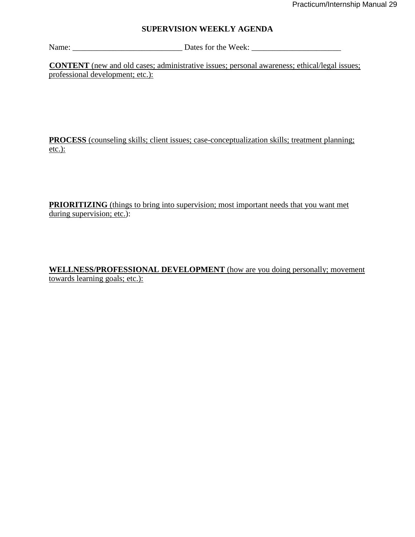#### **SUPERVISION WEEKLY AGENDA**

Name: \_\_\_\_\_\_\_\_\_\_\_\_\_\_\_\_\_\_\_\_\_\_\_\_\_\_\_ Dates for the Week: \_\_\_\_\_\_\_\_\_\_\_\_\_\_\_\_\_\_\_\_\_\_

**CONTENT** (new and old cases; administrative issues; personal awareness; ethical/legal issues; professional development; etc.):

**PROCESS** (counseling skills; client issues; case-conceptualization skills; treatment planning; etc.):

**PRIORITIZING** (things to bring into supervision; most important needs that you want met during supervision; etc.):

**WELLNESS/PROFESSIONAL DEVELOPMENT** (how are you doing personally; movement towards learning goals; etc.):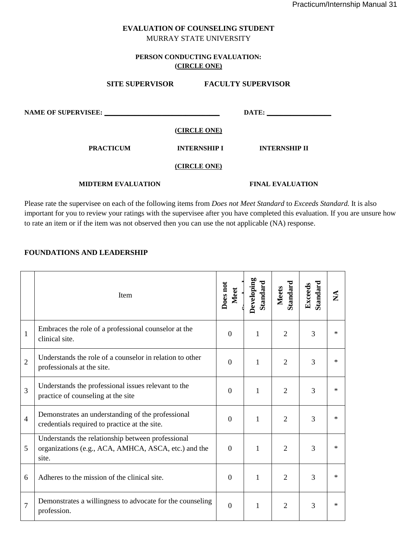#### **EVALUATION OF COUNSELING STUDENT** MURRAY STATE UNIVERSITY

#### **PERSON CONDUCTING EVALUATION: (CIRCLE ONE)**

| <b>SITE SUPERVISOR</b>     |                     | <b>FACULTY SUPERVISOR</b> |
|----------------------------|---------------------|---------------------------|
| <b>NAME OF SUPERVISEE:</b> |                     | DATE:                     |
|                            | (CIRCLE ONE)        |                           |
| <b>PRACTICUM</b>           | <b>INTERNSHIP I</b> | <b>INTERNSHIP II</b>      |
|                            | (CIRCLE ONE)        |                           |
| <b>MIDTERM EVALUATION</b>  |                     | <b>FINAL EVALUATION</b>   |

Please rate the supervisee on each of the following items from *Does not Meet Standard* to *Exceeds Standard.* It is also important for you to review your ratings with the supervisee after you have completed this evaluation. If you are unsure how to rate an item or if the item was not observed then you can use the not applicable (NA) response.

#### **FOUNDATIONS AND LEADERSHIP**

|                | Item                                                                                                               | Does not<br>Meet | Developing<br>Standard | Standard<br><b>Meets</b> | <b>Standard</b><br>Exceeds | $\mathbf{X}$ |
|----------------|--------------------------------------------------------------------------------------------------------------------|------------------|------------------------|--------------------------|----------------------------|--------------|
| $\mathbf{1}$   | Embraces the role of a professional counselor at the<br>clinical site.                                             | $\boldsymbol{0}$ | 1                      | $\overline{2}$           | 3                          | ∗            |
| $\overline{2}$ | Understands the role of a counselor in relation to other<br>professionals at the site.                             | $\boldsymbol{0}$ | 1                      | $\overline{2}$           | 3                          | $*$          |
| 3              | Understands the professional issues relevant to the<br>practice of counseling at the site                          | $\boldsymbol{0}$ | 1                      | $\overline{2}$           | 3                          | $\ast$       |
| $\overline{4}$ | Demonstrates an understanding of the professional<br>credentials required to practice at the site.                 | $\boldsymbol{0}$ | 1                      | $\overline{2}$           | 3                          | $\ast$       |
| 5              | Understands the relationship between professional<br>organizations (e.g., ACA, AMHCA, ASCA, etc.) and the<br>site. | $\overline{0}$   | 1                      | $\overline{2}$           | 3                          | $\ast$       |
| 6              | Adheres to the mission of the clinical site.                                                                       | $\boldsymbol{0}$ | 1                      | $\overline{2}$           | 3                          | $\ast$       |
| $\overline{7}$ | Demonstrates a willingness to advocate for the counseling<br>profession.                                           | $\overline{0}$   | 1                      | $\overline{2}$           | 3                          | ∗            |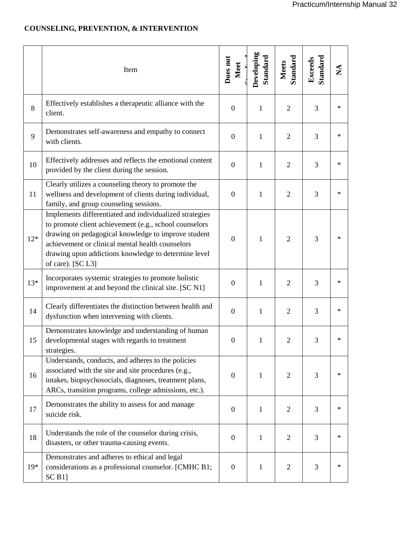## **COUNSELING, PREVENTION, & INTERVENTION**

|       | Item                                                                                                                                                                                                                                                                                                      | Does not<br>Meet | Developing<br>Standard | Standard<br><b>Meets</b> | Standard<br>Exceeds | $\mathbf{X}$ |
|-------|-----------------------------------------------------------------------------------------------------------------------------------------------------------------------------------------------------------------------------------------------------------------------------------------------------------|------------------|------------------------|--------------------------|---------------------|--------------|
| 8     | Effectively establishes a therapeutic alliance with the<br>client.                                                                                                                                                                                                                                        | $\boldsymbol{0}$ | $\mathbf{1}$           | $\overline{2}$           | 3                   | $\ast$       |
| 9     | Demonstrates self-awareness and empathy to connect<br>with clients.                                                                                                                                                                                                                                       | $\boldsymbol{0}$ | $\mathbf{1}$           | $\overline{2}$           | 3                   | $\ast$       |
| 10    | Effectively addresses and reflects the emotional content<br>provided by the client during the session.                                                                                                                                                                                                    | $\boldsymbol{0}$ | $\mathbf{1}$           | $\overline{2}$           | 3                   | $\ast$       |
| 11    | Clearly utilizes a counseling theory to promote the<br>wellness and development of clients during individual,<br>family, and group counseling sessions.                                                                                                                                                   | $\boldsymbol{0}$ | $\mathbf{1}$           | $\overline{2}$           | 3                   | $\ast$       |
| $12*$ | Implements differentiated and individualized strategies<br>to promote client achievement (e.g., school counselors<br>drawing on pedagogical knowledge to improve student<br>achievement or clinical mental health counselors<br>drawing upon addictions knowledge to determine level<br>of care). [SC L3] | $\boldsymbol{0}$ | 1                      | $\overline{2}$           | 3                   | $\ast$       |
| $13*$ | Incorporates systemic strategies to promote holistic<br>improvement at and beyond the clinical site. [SC N1]                                                                                                                                                                                              | $\boldsymbol{0}$ | 1                      | $\overline{2}$           | 3                   | $\ast$       |
| 14    | Clearly differentiates the distinction between health and<br>dysfunction when intervening with clients.                                                                                                                                                                                                   | $\boldsymbol{0}$ | $\mathbf{1}$           | $\overline{2}$           | 3                   | $\ast$       |
| 15    | Demonstrates knowledge and understanding of human<br>developmental stages with regards to treatment<br>strategies.                                                                                                                                                                                        | $\boldsymbol{0}$ | 1                      | $\overline{2}$           | 3                   | $\ast$       |
| 16    | Understands, conducts, and adheres to the policies<br>associated with the site and site procedures (e.g.,<br>intakes, biopsychosocials, diagnoses, treatment plans,<br>ARCs, transition programs, college admissions, etc.).                                                                              | $\mathbf{0}$     | 1                      | 2                        | 3                   | $\ast$       |
| 17    | Demonstrates the ability to assess for and manage<br>suicide risk.                                                                                                                                                                                                                                        | $\boldsymbol{0}$ | 1                      | $\overline{2}$           | 3                   | $\ast$       |
| 18    | Understands the role of the counselor during crisis,<br>disasters, or other trauma-causing events.                                                                                                                                                                                                        | $\boldsymbol{0}$ | 1                      | $\overline{2}$           | 3                   | $\ast$       |
| $19*$ | Demonstrates and adheres to ethical and legal<br>considerations as a professional counselor. [CMHC B1;<br>SCB1                                                                                                                                                                                            | $\boldsymbol{0}$ | 1                      | $\mathfrak{2}$           | 3                   | $\ast$       |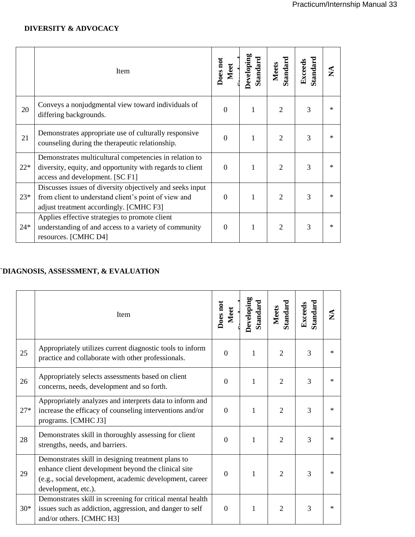## **DIVERSITY & ADVOCACY**

|       | Item                                                                                                                                                         | Does not<br>Meet | Developing<br>Standard | Standard<br>Meets | Standard<br>Exceeds |  |
|-------|--------------------------------------------------------------------------------------------------------------------------------------------------------------|------------------|------------------------|-------------------|---------------------|--|
| 20    | Conveys a nonjudgmental view toward individuals of<br>differing backgrounds.                                                                                 | $\overline{0}$   | 1                      | $\overline{2}$    | 3                   |  |
| 21    | Demonstrates appropriate use of culturally responsive<br>counseling during the therapeutic relationship.                                                     | $\theta$         |                        | $\overline{2}$    | 3                   |  |
| $22*$ | Demonstrates multicultural competencies in relation to<br>diversity, equity, and opportunity with regards to client<br>access and development. [SC F1]       | $\overline{0}$   | 1                      | $\overline{2}$    | 3                   |  |
| $23*$ | Discusses issues of diversity objectively and seeks input<br>from client to understand client's point of view and<br>adjust treatment accordingly. [CMHC F3] | $\boldsymbol{0}$ | 1                      | $\mathfrak{D}$    | 3                   |  |
| $24*$ | Applies effective strategies to promote client<br>understanding of and access to a variety of community<br>resources. [CMHC D4]                              | $\theta$         | 1                      | $\mathfrak{D}$    | 3                   |  |

# **`DIAGNOSIS, ASSESSMENT, & EVALUATION**

|       | Item                                                                                                                                                                                        | Does not<br>Meet | Developing<br>Standard | Standard<br><b>Meets</b> | <b>Standard</b><br>Exceeds | $\mathbf{\Sigma}$ |
|-------|---------------------------------------------------------------------------------------------------------------------------------------------------------------------------------------------|------------------|------------------------|--------------------------|----------------------------|-------------------|
| 25    | Appropriately utilizes current diagnostic tools to inform<br>practice and collaborate with other professionals.                                                                             | $\theta$         | 1                      | $\overline{2}$           | 3                          | $^{\ast}$         |
| 26    | Appropriately selects assessments based on client<br>concerns, needs, development and so forth.                                                                                             | $\overline{0}$   | $\mathbf{1}$           | $\overline{2}$           | 3                          | $\ast$            |
| $27*$ | Appropriately analyzes and interprets data to inform and<br>increase the efficacy of counseling interventions and/or<br>programs. [CMHC J3]                                                 | $\theta$         | $\mathbf{1}$           | 2                        | 3                          | $\ast$            |
| 28    | Demonstrates skill in thoroughly assessing for client<br>strengths, needs, and barriers.                                                                                                    | $\Omega$         | 1                      | $\overline{2}$           | 3                          | $^{\ast}$         |
| 29    | Demonstrates skill in designing treatment plans to<br>enhance client development beyond the clinical site<br>(e.g., social development, academic development, career<br>development, etc.). | $\theta$         | $\mathbf{1}$           | $\overline{2}$           | $\overline{3}$             |                   |
| $30*$ | Demonstrates skill in screening for critical mental health<br>issues such as addiction, aggression, and danger to self<br>and/or others. [CMHC H3]                                          | $\theta$         | 1                      | $\overline{2}$           | 3                          | ×                 |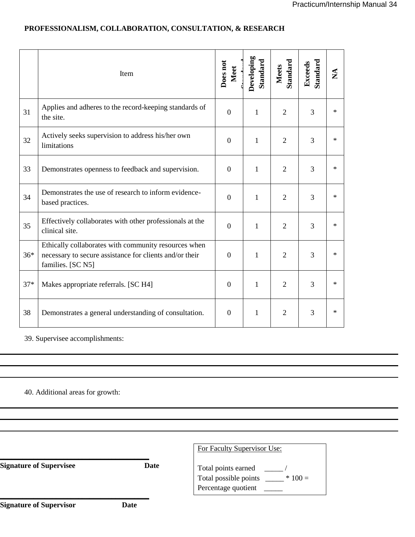|       | Item                                                                                                                                 | Does not<br>Meet | Developing<br><b>Standard</b> | Standard<br>Meets | <b>Standard</b><br>Exceeds | $\mathbf{X}$ |
|-------|--------------------------------------------------------------------------------------------------------------------------------------|------------------|-------------------------------|-------------------|----------------------------|--------------|
| 31    | Applies and adheres to the record-keeping standards of<br>the site.                                                                  | $\boldsymbol{0}$ | $\mathbf{1}$                  | $\overline{2}$    | 3                          | $\ast$       |
| 32    | Actively seeks supervision to address his/her own<br>limitations                                                                     | $\boldsymbol{0}$ | 1                             | $\overline{2}$    | 3                          | $\ast$       |
| 33    | Demonstrates openness to feedback and supervision.                                                                                   | $\overline{0}$   | 1                             | $\overline{2}$    | $\overline{3}$             | $\ast$       |
| 34    | Demonstrates the use of research to inform evidence-<br>based practices.                                                             | $\boldsymbol{0}$ | $\mathbf{1}$                  | $\overline{2}$    | 3                          | $\ast$       |
| 35    | Effectively collaborates with other professionals at the<br>clinical site.                                                           | $\boldsymbol{0}$ | 1                             | $\overline{2}$    | $\overline{3}$             | $\ast$       |
| $36*$ | Ethically collaborates with community resources when<br>necessary to secure assistance for clients and/or their<br>families. [SC N5] | $\overline{0}$   | 1                             | $\overline{2}$    | $\overline{3}$             | $\ast$       |
| $37*$ | Makes appropriate referrals. [SC H4]                                                                                                 | $\overline{0}$   | 1                             | $\overline{2}$    | $\overline{3}$             | $\ast$       |
| 38    | Demonstrates a general understanding of consultation.                                                                                | $\overline{0}$   | $\mathbf{1}$                  | $\overline{2}$    | $\overline{3}$             | $\ast$       |

## **PROFESSIONALISM, COLLABORATION, CONSULTATION, & RESEARCH**

39. Supervisee accomplishments:

40. Additional areas for growth:

|                                |      | For Faculty Supervisor Use:                            |  |  |
|--------------------------------|------|--------------------------------------------------------|--|--|
| <b>Signature of Supervisee</b> | Date | Total points earned<br>$*100 =$<br>Percentage quotient |  |  |
| <b>Signature of Supervisor</b> | Date |                                                        |  |  |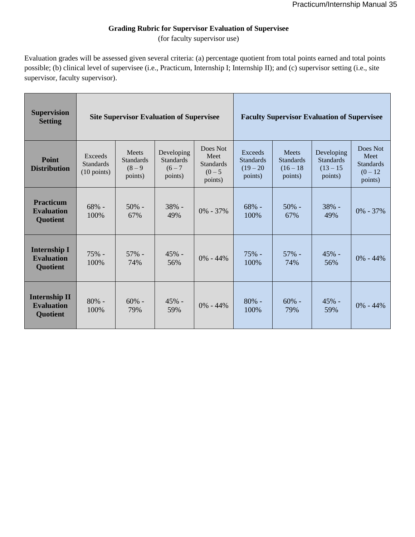## **Grading Rubric for Supervisor Evaluation of Supervisee**

(for faculty supervisor use)

Evaluation grades will be assessed given several criteria: (a) percentage quotient from total points earned and total points possible; (b) clinical level of supervisee (i.e., Practicum, Internship I; Internship II); and (c) supervisor setting (i.e., site supervisor, faculty supervisor).

| <b>Supervision</b><br><b>Setting</b>                         | <b>Site Supervisor Evaluation of Supervisee</b>      |                                                   |                                                        | <b>Faculty Supervisor Evaluation of Supervisee</b>           |                                                       |                                                            |                                                          |                                                               |
|--------------------------------------------------------------|------------------------------------------------------|---------------------------------------------------|--------------------------------------------------------|--------------------------------------------------------------|-------------------------------------------------------|------------------------------------------------------------|----------------------------------------------------------|---------------------------------------------------------------|
| Point<br><b>Distribution</b>                                 | Exceeds<br><b>Standards</b><br>$(10 \text{ points})$ | Meets<br><b>Standards</b><br>$(8 - 9)$<br>points) | Developing<br><b>Standards</b><br>$(6 - 7)$<br>points) | Does Not<br>Meet<br><b>Standards</b><br>$(0 - 5)$<br>points) | Exceeds<br><b>Standards</b><br>$(19 - 20)$<br>points) | <b>Meets</b><br><b>Standards</b><br>$(16 - 18)$<br>points) | Developing<br><b>Standards</b><br>$(13 - 15)$<br>points) | Does Not<br>Meet<br><b>Standards</b><br>$(0 - 12)$<br>points) |
| <b>Practicum</b><br><b>Evaluation</b><br><b>Quotient</b>     | 68% -<br>100%                                        | $50%$ -<br>67%                                    | 38% -<br>49%                                           | $0\% - 37\%$                                                 | $68% -$<br>100%                                       | $50\%$ -<br>67%                                            | 38% -<br>49%                                             | $0\% - 37\%$                                                  |
| <b>Internship I</b><br><b>Evaluation</b><br><b>Quotient</b>  | 75% -<br>100%                                        | $57\%$ -<br>74%                                   | 45% -<br>56%                                           | $0\% - 44\%$                                                 | $75%$ -<br>100%                                       | $57\%$ -<br>74%                                            | 45% -<br>56%                                             | $0\% - 44\%$                                                  |
| <b>Internship II</b><br><b>Evaluation</b><br><b>Quotient</b> | $80%$ -<br>100%                                      | $60%$ -<br>79%                                    | 45% -<br>59%                                           | $0\% - 44\%$                                                 | $80%$ -<br>100%                                       | $60%$ -<br>79%                                             | 45% -<br>59%                                             | $0\% - 44\%$                                                  |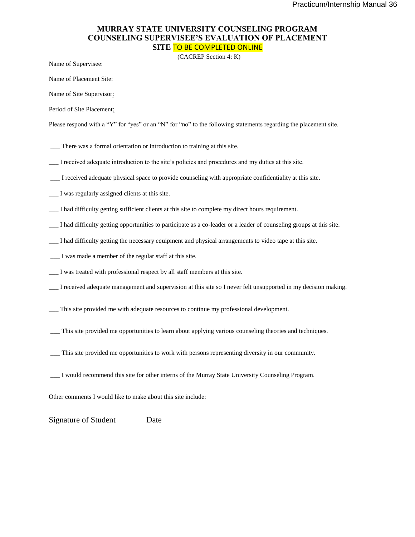#### **MURRAY STATE UNIVERSITY COUNSELING PROGRAM COUNSELING SUPERVISEE'S EVALUATION OF PLACEMENT SITE** TO BE COMPLETED ONLINE

(CACREP Section 4: K)

Name of Supervisee:

Name of Placement Site:

Name of Site Supervisor:

Period of Site Placement:

Please respond with a "Y" for "yes" or an "N" for "no" to the following statements regarding the placement site.

- \_\_\_ There was a formal orientation or introduction to training at this site.
- \_\_\_ I received adequate introduction to the site's policies and procedures and my duties at this site.
- \_\_\_ I received adequate physical space to provide counseling with appropriate confidentiality at this site.
- \_\_\_ I was regularly assigned clients at this site.
- \_\_\_ I had difficulty getting sufficient clients at this site to complete my direct hours requirement.
- \_\_\_ I had difficulty getting opportunities to participate as a co-leader or a leader of counseling groups at this site.
- \_\_\_ I had difficulty getting the necessary equipment and physical arrangements to video tape at this site.
- \_\_\_ I was made a member of the regular staff at this site.
- \_\_\_ I was treated with professional respect by all staff members at this site.
- \_\_\_ I received adequate management and supervision at this site so I never felt unsupported in my decision making.
- \_\_\_ This site provided me with adequate resources to continue my professional development.
- \_\_\_ This site provided me opportunities to learn about applying various counseling theories and techniques.
- \_\_\_ This site provided me opportunities to work with persons representing diversity in our community.
- \_\_\_ I would recommend this site for other interns of the Murray State University Counseling Program.

Other comments I would like to make about this site include:

Signature of Student Date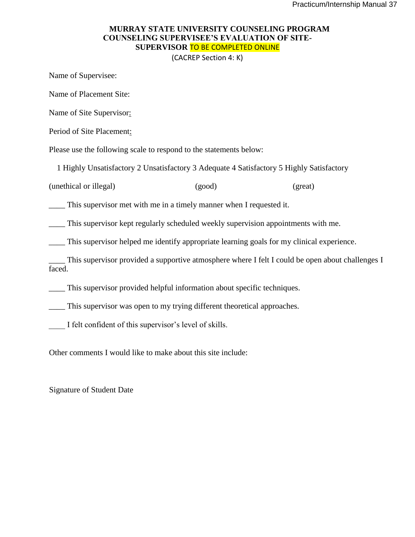#### **MURRAY STATE UNIVERSITY COUNSELING PROGRAM COUNSELING SUPERVISEE'S EVALUATION OF SITE-SUPERVISOR** TO BE COMPLETED ONLINE

(CACREP Section 4: K)

Name of Supervisee:

Name of Placement Site:

Name of Site Supervisor:

Period of Site Placement:

Please use the following scale to respond to the statements below:

1 Highly Unsatisfactory 2 Unsatisfactory 3 Adequate 4 Satisfactory 5 Highly Satisfactory

(unethical or illegal) (good) (great)

\_\_\_\_ This supervisor met with me in a timely manner when I requested it.

This supervisor kept regularly scheduled weekly supervision appointments with me.

\_\_\_\_ This supervisor helped me identify appropriate learning goals for my clinical experience.

\_\_\_\_ This supervisor provided a supportive atmosphere where I felt I could be open about challenges I faced.

This supervisor provided helpful information about specific techniques.

This supervisor was open to my trying different theoretical approaches.

I felt confident of this supervisor's level of skills.

Other comments I would like to make about this site include:

Signature of Student Date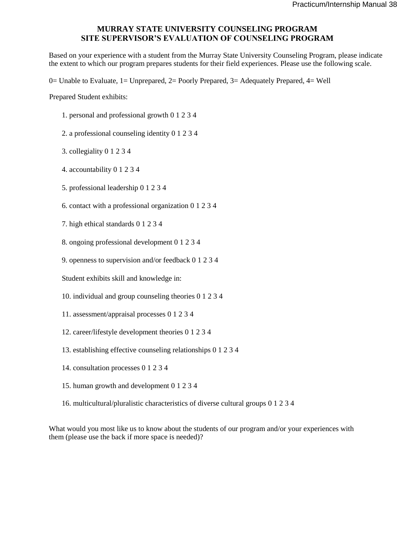#### **MURRAY STATE UNIVERSITY COUNSELING PROGRAM SITE SUPERVISOR'S EVALUATION OF COUNSELING PROGRAM**

Based on your experience with a student from the Murray State University Counseling Program, please indicate the extent to which our program prepares students for their field experiences. Please use the following scale.

0= Unable to Evaluate, 1= Unprepared, 2= Poorly Prepared, 3= Adequately Prepared, 4= Well

Prepared Student exhibits:

- 1. personal and professional growth 0 1 2 3 4
- 2. a professional counseling identity 0 1 2 3 4
- 3. collegiality 0 1 2 3 4
- 4. accountability 0 1 2 3 4
- 5. professional leadership 0 1 2 3 4
- 6. contact with a professional organization 0 1 2 3 4
- 7. high ethical standards 0 1 2 3 4
- 8. ongoing professional development 0 1 2 3 4
- 9. openness to supervision and/or feedback 0 1 2 3 4

Student exhibits skill and knowledge in:

- 10. individual and group counseling theories 0 1 2 3 4
- 11. assessment/appraisal processes 0 1 2 3 4
- 12. career/lifestyle development theories 0 1 2 3 4
- 13. establishing effective counseling relationships 0 1 2 3 4
- 14. consultation processes 0 1 2 3 4
- 15. human growth and development 0 1 2 3 4
- 16. multicultural/pluralistic characteristics of diverse cultural groups 0 1 2 3 4

What would you most like us to know about the students of our program and/or your experiences with them (please use the back if more space is needed)?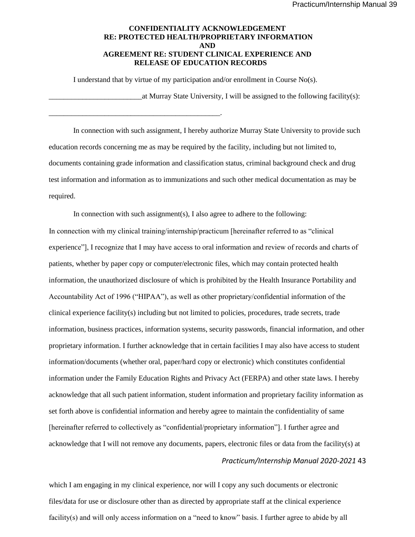#### **CONFIDENTIALITY ACKNOWLEDGEMENT RE: PROTECTED HEALTH/PROPRIETARY INFORMATION AND AGREEMENT RE: STUDENT CLINICAL EXPERIENCE AND RELEASE OF EDUCATION RECORDS**

I understand that by virtue of my participation and/or enrollment in Course No(s).

\_\_\_\_\_\_\_\_\_\_\_\_\_\_\_\_\_\_\_\_\_\_\_\_\_\_\_\_\_\_\_\_\_\_\_\_\_\_\_\_\_\_\_\_\_\_.

\_\_\_\_\_\_\_\_\_\_\_\_\_\_\_\_\_\_\_\_\_\_\_\_\_at Murray State University, I will be assigned to the following facility(s):

In connection with such assignment, I hereby authorize Murray State University to provide such education records concerning me as may be required by the facility, including but not limited to, documents containing grade information and classification status, criminal background check and drug test information and information as to immunizations and such other medical documentation as may be required.

In connection with such assignment(s), I also agree to adhere to the following: In connection with my clinical training/internship/practicum [hereinafter referred to as "clinical experience"], I recognize that I may have access to oral information and review of records and charts of patients, whether by paper copy or computer/electronic files, which may contain protected health information, the unauthorized disclosure of which is prohibited by the Health Insurance Portability and Accountability Act of 1996 ("HIPAA"), as well as other proprietary/confidential information of the clinical experience facility(s) including but not limited to policies, procedures, trade secrets, trade information, business practices, information systems, security passwords, financial information, and other proprietary information. I further acknowledge that in certain facilities I may also have access to student information/documents (whether oral, paper/hard copy or electronic) which constitutes confidential information under the Family Education Rights and Privacy Act (FERPA) and other state laws. I hereby acknowledge that all such patient information, student information and proprietary facility information as set forth above is confidential information and hereby agree to maintain the confidentiality of same [hereinafter referred to collectively as "confidential/proprietary information"]. I further agree and acknowledge that I will not remove any documents, papers, electronic files or data from the facility(s) at

#### *Practicum/Internship Manual 2020-2021* 43

which I am engaging in my clinical experience, nor will I copy any such documents or electronic files/data for use or disclosure other than as directed by appropriate staff at the clinical experience facility(s) and will only access information on a "need to know" basis. I further agree to abide by all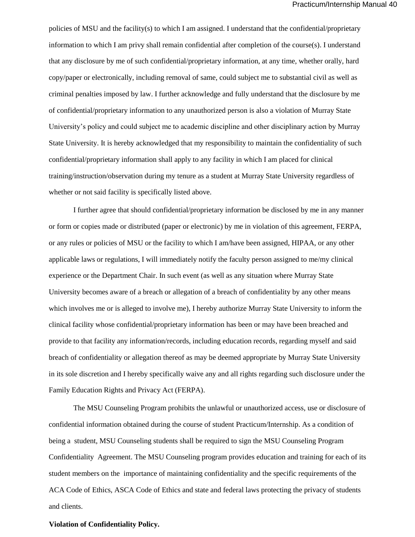policies of MSU and the facility(s) to which I am assigned. I understand that the confidential/proprietary information to which I am privy shall remain confidential after completion of the course(s). I understand that any disclosure by me of such confidential/proprietary information, at any time, whether orally, hard copy/paper or electronically, including removal of same, could subject me to substantial civil as well as criminal penalties imposed by law. I further acknowledge and fully understand that the disclosure by me of confidential/proprietary information to any unauthorized person is also a violation of Murray State University's policy and could subject me to academic discipline and other disciplinary action by Murray State University. It is hereby acknowledged that my responsibility to maintain the confidentiality of such confidential/proprietary information shall apply to any facility in which I am placed for clinical training/instruction/observation during my tenure as a student at Murray State University regardless of whether or not said facility is specifically listed above.

I further agree that should confidential/proprietary information be disclosed by me in any manner or form or copies made or distributed (paper or electronic) by me in violation of this agreement, FERPA, or any rules or policies of MSU or the facility to which I am/have been assigned, HIPAA, or any other applicable laws or regulations, I will immediately notify the faculty person assigned to me/my clinical experience or the Department Chair. In such event (as well as any situation where Murray State University becomes aware of a breach or allegation of a breach of confidentiality by any other means which involves me or is alleged to involve me), I hereby authorize Murray State University to inform the clinical facility whose confidential/proprietary information has been or may have been breached and provide to that facility any information/records, including education records, regarding myself and said breach of confidentiality or allegation thereof as may be deemed appropriate by Murray State University in its sole discretion and I hereby specifically waive any and all rights regarding such disclosure under the Family Education Rights and Privacy Act (FERPA).

The MSU Counseling Program prohibits the unlawful or unauthorized access, use or disclosure of confidential information obtained during the course of student Practicum/Internship. As a condition of being a student, MSU Counseling students shall be required to sign the MSU Counseling Program Confidentiality Agreement. The MSU Counseling program provides education and training for each of its student members on the importance of maintaining confidentiality and the specific requirements of the ACA Code of Ethics, ASCA Code of Ethics and state and federal laws protecting the privacy of students and clients.

#### **Violation of Confidentiality Policy.**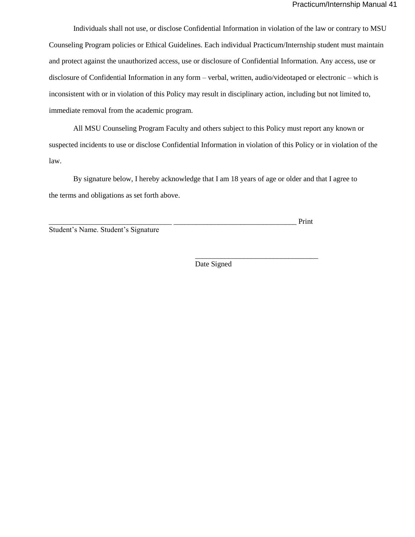Individuals shall not use, or disclose Confidential Information in violation of the law or contrary to MSU Counseling Program policies or Ethical Guidelines. Each individual Practicum/Internship student must maintain and protect against the unauthorized access, use or disclosure of Confidential Information. Any access, use or disclosure of Confidential Information in any form – verbal, written, audio/videotaped or electronic – which is inconsistent with or in violation of this Policy may result in disciplinary action, including but not limited to, immediate removal from the academic program.

All MSU Counseling Program Faculty and others subject to this Policy must report any known or suspected incidents to use or disclose Confidential Information in violation of this Policy or in violation of the law.

By signature below, I hereby acknowledge that I am 18 years of age or older and that I agree to the terms and obligations as set forth above.

\_\_\_\_\_\_\_\_\_\_\_\_\_\_\_\_\_\_\_\_\_\_\_\_\_\_\_\_\_\_\_\_\_ \_\_\_\_\_\_\_\_\_\_\_\_\_\_\_\_\_\_\_\_\_\_\_\_\_\_\_\_\_\_\_\_\_ Print

Student's Name. Student's Signature

Date Signed

\_\_\_\_\_\_\_\_\_\_\_\_\_\_\_\_\_\_\_\_\_\_\_\_\_\_\_\_\_\_\_\_\_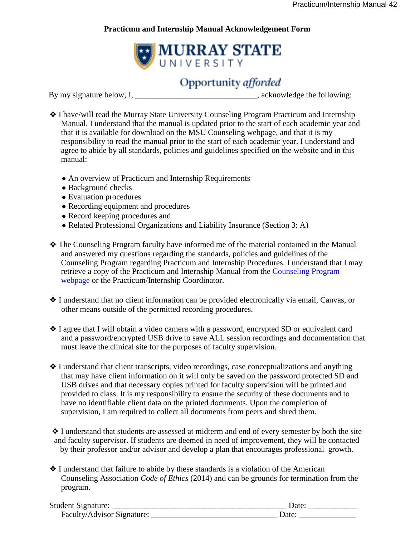## **Practicum and Internship Manual Acknowledgement Form**



# **Opportunity** afforded

By my signature below, I, \_\_\_\_\_\_\_\_\_\_\_\_\_\_\_\_\_\_\_\_\_\_\_\_\_\_\_\_\_, acknowledge the following:

- ❖ I have/will read the Murray State University Counseling Program Practicum and Internship Manual. I understand that the manual is updated prior to the start of each academic year and that it is available for download on the MSU Counseling webpage, and that it is my responsibility to read the manual prior to the start of each academic year. I understand and agree to abide by all standards, policies and guidelines specified on the website and in this manual:
	- An overview of Practicum and Internship Requirements
	- Background checks
	- Evaluation procedures
	- Recording equipment and procedures
	- Record keeping procedures and
	- Related Professional Organizations and Liability Insurance (Section 3: A)
- ❖ The Counseling Program faculty have informed me of the material contained in the Manual and answered my questions regarding the standards, policies and guidelines of the Counseling Program regarding Practicum and Internship Procedures. I understand that I may retrieve a copy of the Practicum and Internship Manual from the Counseling Program webpage or the Practicum/Internship Coordinator.
- ❖ I understand that no client information can be provided electronically via email, Canvas, or other means outside of the permitted recording procedures.
- ❖ I agree that I will obtain a video camera with a password, encrypted SD or equivalent card and a password/encrypted USB drive to save ALL session recordings and documentation that must leave the clinical site for the purposes of faculty supervision.
- ❖ I understand that client transcripts, video recordings, case conceptualizations and anything that may have client information on it will only be saved on the password protected SD and USB drives and that necessary copies printed for faculty supervision will be printed and provided to class. It is my responsibility to ensure the security of these documents and to have no identifiable client data on the printed documents. Upon the completion of supervision, I am required to collect all documents from peers and shred them.

❖ I understand that students are assessed at midterm and end of every semester by both the site and faculty supervisor. If students are deemed in need of improvement, they will be contacted by their professor and/or advisor and develop a plan that encourages professional growth.

❖ I understand that failure to abide by these standards is a violation of the American Counseling Association *Code of Ethics* (2014) and can be grounds for termination from the program.

| <b>Student Signature:</b>  | Jate |
|----------------------------|------|
| Faculty/Advisor Signature: | )ate |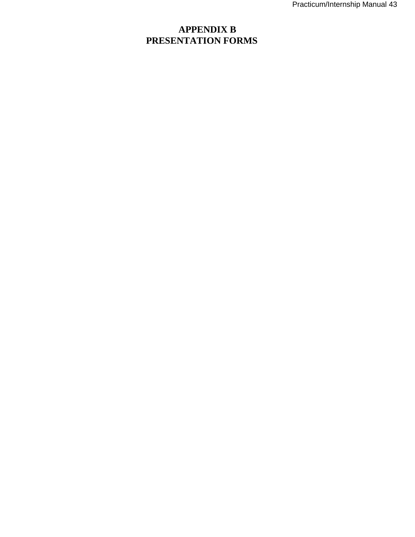# **APPENDIX B PRESENTATION FORMS**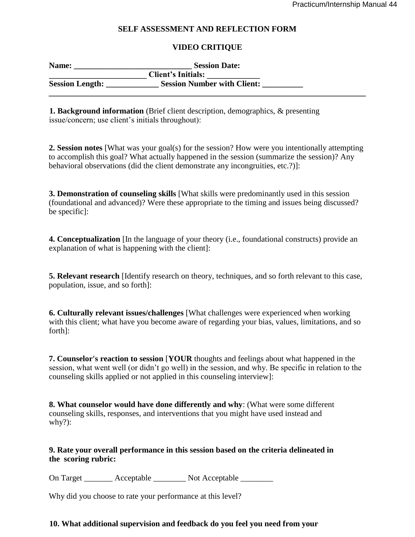#### **SELF ASSESSMENT AND REFLECTION FORM**

#### **VIDEO CRITIQUE**

| Name:                  | <b>Session Date:</b>               |  |
|------------------------|------------------------------------|--|
|                        | <b>Client's Initials:</b>          |  |
| <b>Session Length:</b> | <b>Session Number with Client:</b> |  |
|                        |                                    |  |

**1. Background information** (Brief client description, demographics, & presenting issue/concern; use client's initials throughout):

**2. Session notes** [What was your goal(s) for the session? How were you intentionally attempting to accomplish this goal? What actually happened in the session (summarize the session)? Any behavioral observations (did the client demonstrate any incongruities, etc.?)]:

**3. Demonstration of counseling skills** [What skills were predominantly used in this session (foundational and advanced)? Were these appropriate to the timing and issues being discussed? be specific]:

**4. Conceptualization** [In the language of your theory (i.e., foundational constructs) provide an explanation of what is happening with the client]:

**5. Relevant research** [Identify research on theory, techniques, and so forth relevant to this case, population, issue, and so forth]:

**6. Culturally relevant issues/challenges** [What challenges were experienced when working with this client; what have you become aware of regarding your bias, values, limitations, and so forth]:

**7. Counselor's reaction to session** [**YOUR** thoughts and feelings about what happened in the session, what went well (or didn't go well) in the session, and why. Be specific in relation to the counseling skills applied or not applied in this counseling interview]:

**8. What counselor would have done differently and why**: (What were some different counseling skills, responses, and interventions that you might have used instead and why?):

#### **9. Rate your overall performance in this session based on the criteria delineated in the scoring rubric:**

On Target  $\qquad$  Acceptable  $\qquad$  Not Acceptable

Why did you choose to rate your performance at this level?

#### **10. What additional supervision and feedback do you feel you need from your**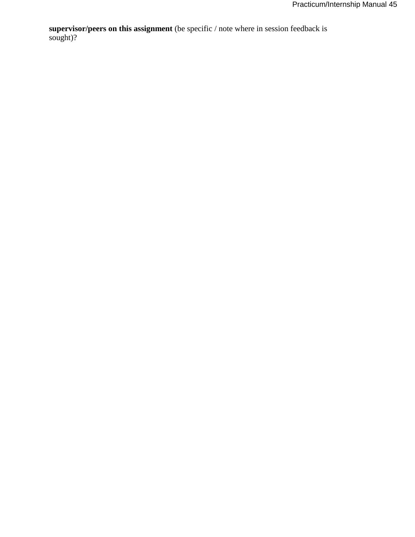**supervisor/peers on this assignment** (be specific / note where in session feedback is sought)?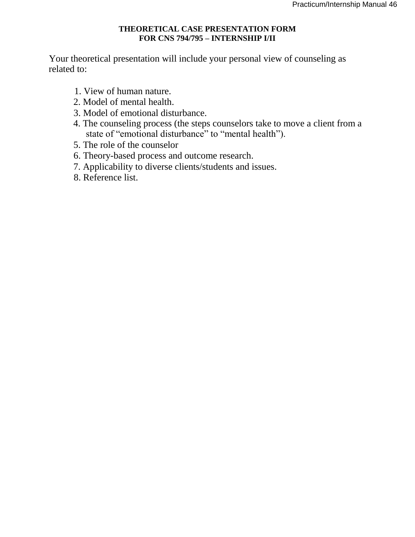#### **THEORETICAL CASE PRESENTATION FORM FOR CNS 794/795 – INTERNSHIP I/II**

Your theoretical presentation will include your personal view of counseling as related to:

- 1. View of human nature.
- 2. Model of mental health.
- 3. Model of emotional disturbance.
- 4. The counseling process (the steps counselors take to move a client from a state of "emotional disturbance" to "mental health").
- 5. The role of the counselor
- 6. Theory-based process and outcome research.
- 7. Applicability to diverse clients/students and issues.
- 8. Reference list.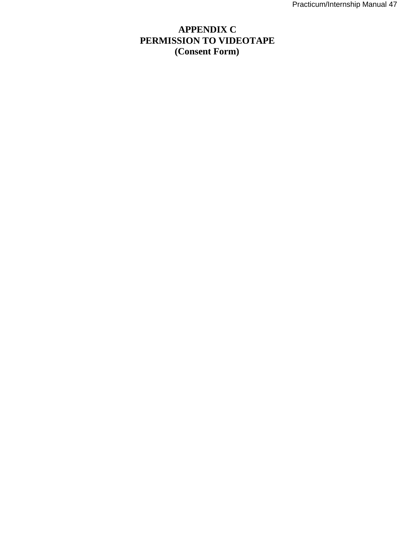# **APPENDIX C PERMISSION TO VIDEOTAPE (Consent Form)**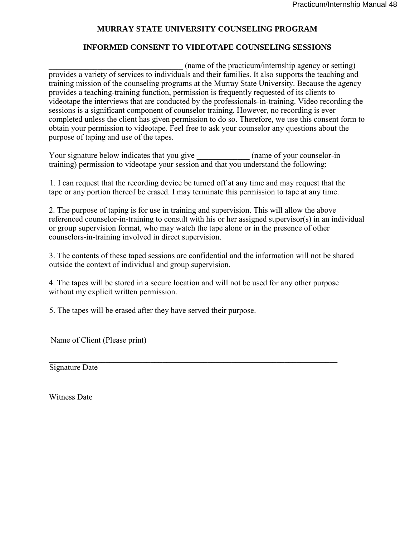#### **MURRAY STATE UNIVERSITY COUNSELING PROGRAM**

#### **INFORMED CONSENT TO VIDEOTAPE COUNSELING SESSIONS**

 $(name of the practical m/internship agency or setting)$ provides a variety of services to individuals and their families. It also supports the teaching and training mission of the counseling programs at the Murray State University. Because the agency provides a teaching-training function, permission is frequently requested of its clients to videotape the interviews that are conducted by the professionals-in-training. Video recording the sessions is a significant component of counselor training. However, no recording is ever completed unless the client has given permission to do so. Therefore, we use this consent form to obtain your permission to videotape. Feel free to ask your counselor any questions about the purpose of taping and use of the tapes.

Your signature below indicates that you give  $\qquad \qquad$  (name of your counselor-in training) permission to videotape your session and that you understand the following:

1. I can request that the recording device be turned off at any time and may request that the tape or any portion thereof be erased. I may terminate this permission to tape at any time.

2. The purpose of taping is for use in training and supervision. This will allow the above referenced counselor-in-training to consult with his or her assigned supervisor(s) in an individual or group supervision format, who may watch the tape alone or in the presence of other counselors-in-training involved in direct supervision.

3. The contents of these taped sessions are confidential and the information will not be shared outside the context of individual and group supervision.

4. The tapes will be stored in a secure location and will not be used for any other purpose without my explicit written permission.

5. The tapes will be erased after they have served their purpose.

Name of Client (Please print)

Signature Date

Witness Date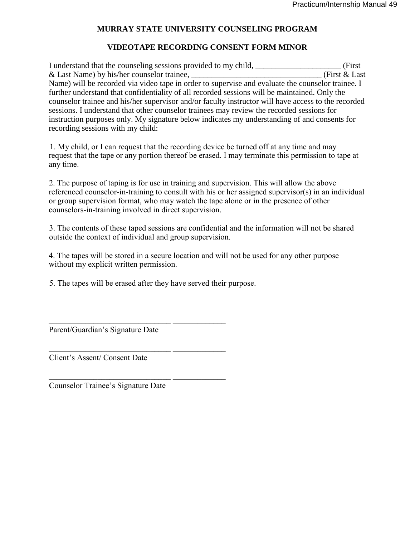#### **MURRAY STATE UNIVERSITY COUNSELING PROGRAM**

#### **VIDEOTAPE RECORDING CONSENT FORM MINOR**

I understand that the counseling sessions provided to my child, \_\_\_\_\_\_\_\_\_\_\_\_\_\_\_\_\_\_\_\_\_ (First & Last Name) by his/her counselor trainee, <br>
(First & Last) Name) will be recorded via video tape in order to supervise and evaluate the counselor trainee. I further understand that confidentiality of all recorded sessions will be maintained. Only the counselor trainee and his/her supervisor and/or faculty instructor will have access to the recorded sessions. I understand that other counselor trainees may review the recorded sessions for instruction purposes only. My signature below indicates my understanding of and consents for recording sessions with my child:

1. My child, or I can request that the recording device be turned off at any time and may request that the tape or any portion thereof be erased. I may terminate this permission to tape at any time.

2. The purpose of taping is for use in training and supervision. This will allow the above referenced counselor-in-training to consult with his or her assigned supervisor(s) in an individual or group supervision format, who may watch the tape alone or in the presence of other counselors-in-training involved in direct supervision.

3. The contents of these taped sessions are confidential and the information will not be shared outside the context of individual and group supervision.

4. The tapes will be stored in a secure location and will not be used for any other purpose without my explicit written permission.

5. The tapes will be erased after they have served their purpose.

\_\_\_\_\_\_\_\_\_\_\_\_\_\_\_\_\_\_\_\_\_\_\_\_\_\_\_\_\_\_ \_\_\_\_\_\_\_\_\_\_\_\_\_

\_\_\_\_\_\_\_\_\_\_\_\_\_\_\_\_\_\_\_\_\_\_\_\_\_\_\_\_\_\_ \_\_\_\_\_\_\_\_\_\_\_\_\_

\_\_\_\_\_\_\_\_\_\_\_\_\_\_\_\_\_\_\_\_\_\_\_\_\_\_\_\_\_\_ \_\_\_\_\_\_\_\_\_\_\_\_\_

Parent/Guardian's Signature Date

Client's Assent/ Consent Date

Counselor Trainee's Signature Date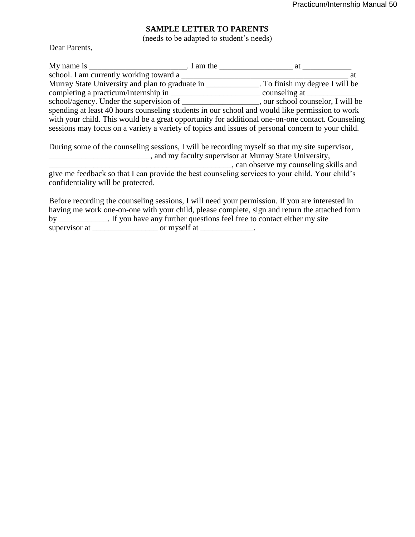# **SAMPLE LETTER TO PARENTS**

(needs to be adapted to student's needs)

Dear Parents,

|                                         | at                                                                                                |    |
|-----------------------------------------|---------------------------------------------------------------------------------------------------|----|
| school. I am currently working toward a |                                                                                                   | at |
|                                         | Murray State University and plan to graduate in ______________. To finish my degree I will be     |    |
| completing a practicum/internship in    | counseling at                                                                                     |    |
|                                         | school/agency. Under the supervision of _____________________, our school counselor, I will be    |    |
|                                         | spending at least 40 hours counseling students in our school and would like permission to work    |    |
|                                         | with your child. This would be a great opportunity for additional one-on-one contact. Counseling  |    |
|                                         | sessions may focus on a variety a variety of topics and issues of personal concern to your child. |    |
|                                         | During some of the counseling sessions, I will be recording myself so that my site supervisor,    |    |
|                                         | _, and my faculty supervisor at Murray State University,                                          |    |
|                                         | , can observe my counseling skills and                                                            |    |
|                                         | give me feedback so that I can provide the best counseling services to your child. Your child's   |    |
| confidentiality will be protected.      |                                                                                                   |    |

Before recording the counseling sessions, I will need your permission. If you are interested in having me work one-on-one with your child, please complete, sign and return the attached form by \_\_\_\_\_\_\_\_\_\_\_\_\_. If you have any further questions feel free to contact either my site supervisor at \_\_\_\_\_\_\_\_\_\_\_\_\_\_\_\_\_\_\_\_\_\_ or myself at \_\_\_\_\_\_\_\_\_\_\_\_\_\_\_.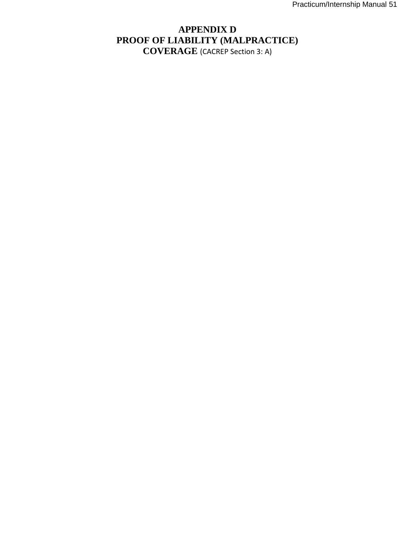# **APPENDIX D PROOF OF LIABILITY (MALPRACTICE) COVERAGE** (CACREP Section 3: A)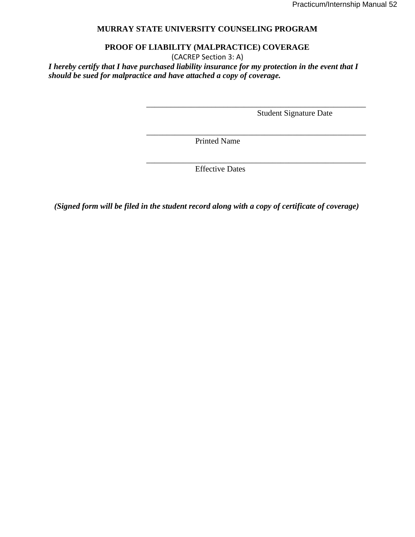#### **MURRAY STATE UNIVERSITY COUNSELING PROGRAM**

#### **PROOF OF LIABILITY (MALPRACTICE) COVERAGE**

(CACREP Section 3: A)

*I hereby certify that I have purchased liability insurance for my protection in the event that I should be sued for malpractice and have attached a copy of coverage.* 

Student Signature Date

\_\_\_\_\_\_\_\_\_\_\_\_\_\_\_\_\_\_\_\_\_\_\_\_\_\_\_\_\_\_\_\_\_\_\_\_\_\_\_\_\_\_\_\_\_\_\_\_\_\_\_\_\_\_

\_\_\_\_\_\_\_\_\_\_\_\_\_\_\_\_\_\_\_\_\_\_\_\_\_\_\_\_\_\_\_\_\_\_\_\_\_\_\_\_\_\_\_\_\_\_\_\_\_\_\_\_\_\_

\_\_\_\_\_\_\_\_\_\_\_\_\_\_\_\_\_\_\_\_\_\_\_\_\_\_\_\_\_\_\_\_\_\_\_\_\_\_\_\_\_\_\_\_\_\_\_\_\_\_\_\_\_\_

Printed Name

Effective Dates

*(Signed form will be filed in the student record along with a copy of certificate of coverage)*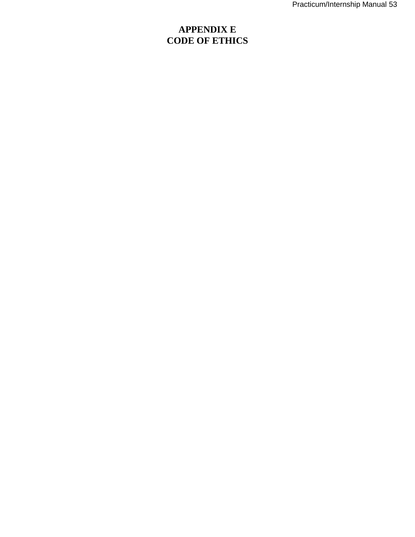# **APPENDIX E CODE OF ETHICS**